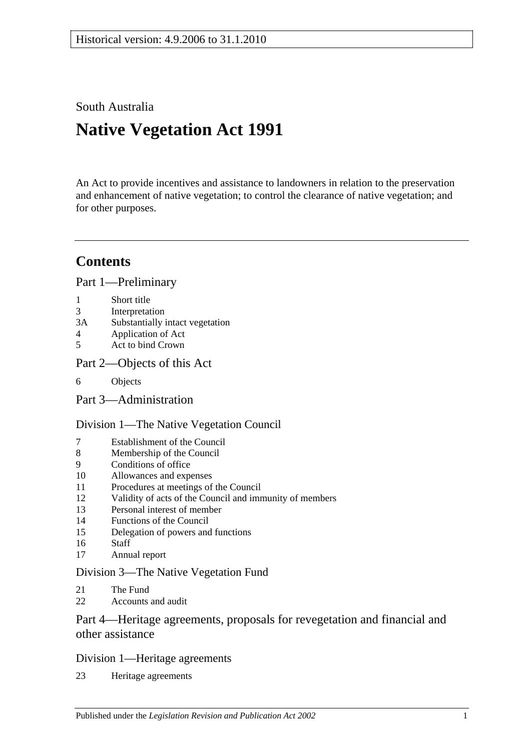South Australia

# **Native Vegetation Act 1991**

An Act to provide incentives and assistance to landowners in relation to the preservation and enhancement of native vegetation; to control the clearance of native vegetation; and for other purposes.

# **Contents**

[Part 1—Preliminary](#page-2-0)

- 1 [Short title](#page-2-1)
- 3 [Interpretation](#page-2-2)
- 3A [Substantially intact vegetation](#page-5-0)
- 4 [Application of Act](#page-5-1)
- 5 [Act to bind Crown](#page-6-0)
- [Part 2—Objects of this Act](#page-6-1)
- 6 [Objects](#page-6-2)

[Part 3—Administration](#page-7-0)

## [Division 1—The Native Vegetation Council](#page-7-1)

- 7 [Establishment of the Council](#page-7-2)<br>8 Membership of the Council
- [Membership of the Council](#page-7-3)
- 9 [Conditions of office](#page-8-0)
- 10 [Allowances and expenses](#page-8-1)
- 11 [Procedures at meetings of the Council](#page-8-2)
- 12 [Validity of acts of the Council and immunity of members](#page-8-3)
- 13 [Personal interest of member](#page-9-0)
- 14 [Functions of the Council](#page-9-1)
- 15 [Delegation of powers and functions](#page-10-0)
- 16 [Staff](#page-11-0)
- 17 [Annual report](#page-11-1)

## [Division 3—The Native Vegetation Fund](#page-11-2)

- 21 [The Fund](#page-11-3)
- 22 [Accounts and audit](#page-12-0)

## [Part 4—Heritage agreements, proposals for revegetation and financial and](#page-13-0)  [other assistance](#page-13-0)

## [Division 1—Heritage agreements](#page-13-1)

23 [Heritage agreements](#page-13-2)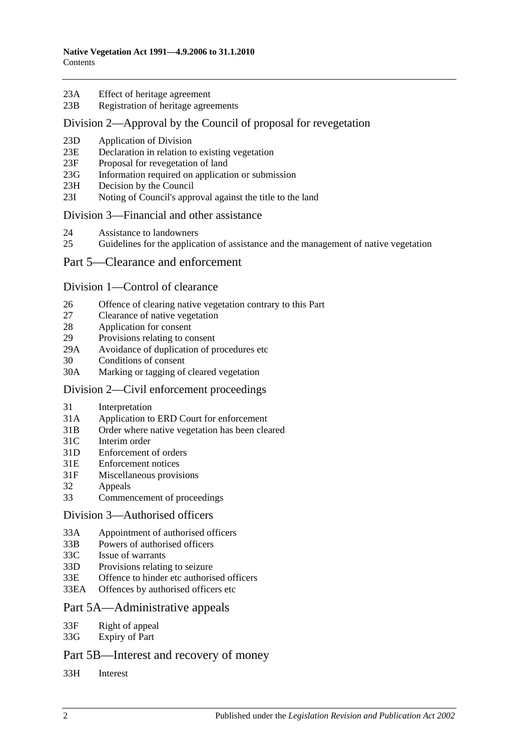- 23A [Effect of heritage agreement](#page-13-3)
- 23B [Registration of heritage agreements](#page-14-0)

#### [Division 2—Approval by the Council of proposal for revegetation](#page-14-1)

- 23D [Application of Division](#page-14-2)
- 23E [Declaration in relation to existing vegetation](#page-14-3)
- 23F [Proposal for revegetation of land](#page-14-4)
- 23G [Information required on application or submission](#page-15-0)
- 23H [Decision by the Council](#page-15-1)
- 23I [Noting of Council's approval against the title to the land](#page-15-2)

#### [Division 3—Financial and other assistance](#page-15-3)

- 24 [Assistance to landowners](#page-15-4)
- 25 [Guidelines for the application of assistance and the management of native vegetation](#page-16-0)

#### [Part 5—Clearance and enforcement](#page-18-0)

#### [Division 1—Control of clearance](#page-18-1)

- 26 [Offence of clearing native vegetation contrary to this Part](#page-18-2)
- 27 [Clearance of native vegetation](#page-19-0)
- 28 [Application for consent](#page-20-0)
- 29 [Provisions relating to consent](#page-21-0)
- 29A [Avoidance of duplication of procedures etc](#page-24-0)
- 30 [Conditions of consent](#page-25-0)
- 30A [Marking or tagging of cleared vegetation](#page-26-0)

#### [Division 2—Civil enforcement proceedings](#page-26-1)

- 31 [Interpretation](#page-26-2)
- 31A [Application to ERD Court for enforcement](#page-26-3)
- 31B [Order where native vegetation has been cleared](#page-28-0)
- 31C [Interim order](#page-30-0)
- 31D [Enforcement of orders](#page-30-1)
- 31E [Enforcement notices](#page-31-0)
- 31F [Miscellaneous provisions](#page-32-0)
- 32 [Appeals](#page-32-1)
- 33 [Commencement of proceedings](#page-32-2)

#### [Division 3—Authorised officers](#page-33-0)

- 33A [Appointment of authorised officers](#page-33-1)
- 33B [Powers of authorised officers](#page-34-0)
- 33C [Issue of warrants](#page-36-0)
- 33D [Provisions relating to seizure](#page-37-0)
- 33E [Offence to hinder etc authorised officers](#page-38-0)
- 33EA [Offences by authorised officers etc](#page-39-0)

#### [Part 5A—Administrative appeals](#page-39-1)

- 33F [Right of appeal](#page-39-2)
- 33G [Expiry of Part](#page-40-0)

## [Part 5B—Interest and recovery of money](#page-40-1)

33H [Interest](#page-40-2)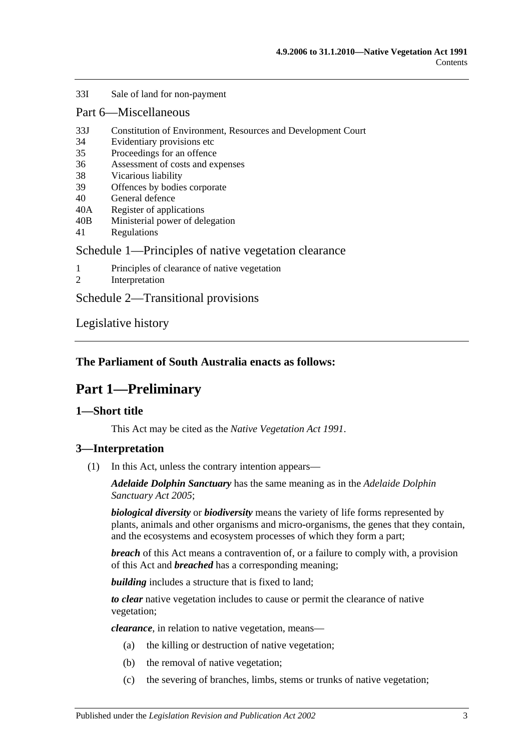#### 33I [Sale of land for non-payment](#page-40-3)

#### [Part 6—Miscellaneous](#page-42-0)

- 33J [Constitution of Environment, Resources and Development Court](#page-42-1)
- 34 [Evidentiary provisions etc](#page-42-2)
- 35 [Proceedings for an offence](#page-43-0)
- 36 [Assessment of costs and expenses](#page-43-1)
- 38 [Vicarious liability](#page-43-2)
- 39 [Offences by bodies corporate](#page-44-0)
- 40 [General defence](#page-44-1)
- 40A [Register of applications](#page-44-2)
- 40B [Ministerial power of delegation](#page-44-3)
- 41 [Regulations](#page-45-0)

#### [Schedule 1—Principles of native vegetation clearance](#page-45-1)

- 1 [Principles of clearance of native vegetation](#page-45-2)
- 2 [Interpretation](#page-46-0)

[Schedule 2—Transitional provisions](#page-46-1)

[Legislative history](#page-48-0)

## <span id="page-2-0"></span>**The Parliament of South Australia enacts as follows:**

# **Part 1—Preliminary**

#### <span id="page-2-1"></span>**1—Short title**

This Act may be cited as the *Native Vegetation Act 1991*.

#### <span id="page-2-2"></span>**3—Interpretation**

(1) In this Act, unless the contrary intention appears—

*Adelaide Dolphin Sanctuary* has the same meaning as in the *[Adelaide Dolphin](http://www.legislation.sa.gov.au/index.aspx?action=legref&type=act&legtitle=Adelaide%20Dolphin%20Sanctuary%20Act%202005)  [Sanctuary Act](http://www.legislation.sa.gov.au/index.aspx?action=legref&type=act&legtitle=Adelaide%20Dolphin%20Sanctuary%20Act%202005) 2005*;

*biological diversity* or *biodiversity* means the variety of life forms represented by plants, animals and other organisms and micro-organisms, the genes that they contain, and the ecosystems and ecosystem processes of which they form a part;

*breach* of this Act means a contravention of, or a failure to comply with, a provision of this Act and *breached* has a corresponding meaning;

**building** includes a structure that is fixed to land;

*to clear* native vegetation includes to cause or permit the clearance of native vegetation;

*clearance*, in relation to native vegetation, means—

- (a) the killing or destruction of native vegetation;
- (b) the removal of native vegetation;
- (c) the severing of branches, limbs, stems or trunks of native vegetation;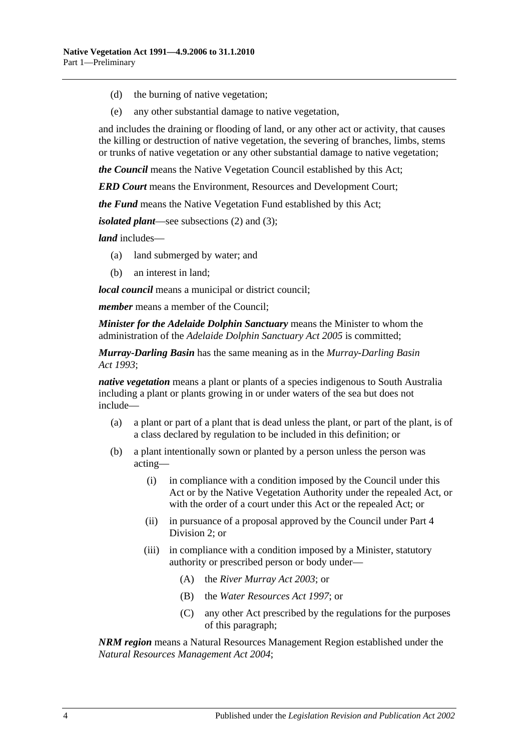- (d) the burning of native vegetation;
- (e) any other substantial damage to native vegetation,

and includes the draining or flooding of land, or any other act or activity, that causes the killing or destruction of native vegetation, the severing of branches, limbs, stems or trunks of native vegetation or any other substantial damage to native vegetation;

*the Council* means the Native Vegetation Council established by this Act;

*ERD Court* means the Environment, Resources and Development Court;

*the Fund* means the Native Vegetation Fund established by this Act;

*isolated plant*—see [subsections](#page-4-0) (2) and [\(3\);](#page-4-1)

*land* includes—

- (a) land submerged by water; and
- (b) an interest in land;

*local council* means a municipal or district council;

*member* means a member of the Council;

*Minister for the Adelaide Dolphin Sanctuary* means the Minister to whom the administration of the *[Adelaide Dolphin Sanctuary Act](http://www.legislation.sa.gov.au/index.aspx?action=legref&type=act&legtitle=Adelaide%20Dolphin%20Sanctuary%20Act%202005) 2005* is committed;

*Murray-Darling Basin* has the same meaning as in the *[Murray-Darling Basin](http://www.legislation.sa.gov.au/index.aspx?action=legref&type=act&legtitle=Murray-Darling%20Basin%20Act%201993)  Act [1993](http://www.legislation.sa.gov.au/index.aspx?action=legref&type=act&legtitle=Murray-Darling%20Basin%20Act%201993)*;

*native vegetation* means a plant or plants of a species indigenous to South Australia including a plant or plants growing in or under waters of the sea but does not include—

- (a) a plant or part of a plant that is dead unless the plant, or part of the plant, is of a class declared by regulation to be included in this definition; or
- (b) a plant intentionally sown or planted by a person unless the person was acting—
	- (i) in compliance with a condition imposed by the Council under this Act or by the Native Vegetation Authority under the repealed Act, or with the order of a court under this Act or the repealed Act; or
	- (ii) in pursuance of a proposal approved by the Council under [Part 4](#page-14-1)  [Division 2;](#page-14-1) or
	- (iii) in compliance with a condition imposed by a Minister, statutory authority or prescribed person or body under—
		- (A) the *[River Murray Act](http://www.legislation.sa.gov.au/index.aspx?action=legref&type=act&legtitle=River%20Murray%20Act%202003) 2003*; or
		- (B) the *[Water Resources Act](http://www.legislation.sa.gov.au/index.aspx?action=legref&type=act&legtitle=Water%20Resources%20Act%201997) 1997*; or
		- (C) any other Act prescribed by the regulations for the purposes of this paragraph;

*NRM region* means a Natural Resources Management Region established under the *[Natural Resources Management Act](http://www.legislation.sa.gov.au/index.aspx?action=legref&type=act&legtitle=Natural%20Resources%20Management%20Act%202004) 2004*;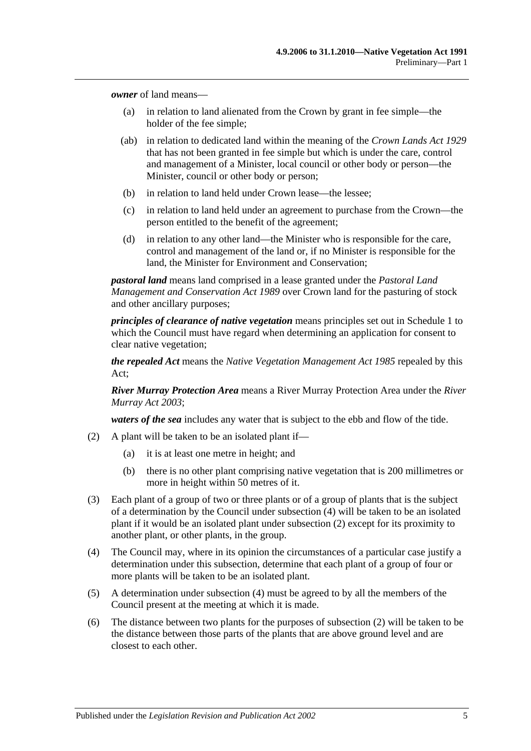*owner* of land means—

- (a) in relation to land alienated from the Crown by grant in fee simple—the holder of the fee simple;
- (ab) in relation to dedicated land within the meaning of the *[Crown Lands Act](http://www.legislation.sa.gov.au/index.aspx?action=legref&type=act&legtitle=Crown%20Lands%20Act%201929) 1929* that has not been granted in fee simple but which is under the care, control and management of a Minister, local council or other body or person—the Minister, council or other body or person;
- (b) in relation to land held under Crown lease—the lessee;
- (c) in relation to land held under an agreement to purchase from the Crown—the person entitled to the benefit of the agreement;
- (d) in relation to any other land—the Minister who is responsible for the care, control and management of the land or, if no Minister is responsible for the land, the Minister for Environment and Conservation;

*pastoral land* means land comprised in a lease granted under the *[Pastoral Land](http://www.legislation.sa.gov.au/index.aspx?action=legref&type=act&legtitle=Pastoral%20Land%20Management%20and%20Conservation%20Act%201989)  [Management and Conservation Act](http://www.legislation.sa.gov.au/index.aspx?action=legref&type=act&legtitle=Pastoral%20Land%20Management%20and%20Conservation%20Act%201989) 1989* over Crown land for the pasturing of stock and other ancillary purposes;

*principles of clearance of native vegetation* means principles set out in [Schedule 1](#page-45-1) to which the Council must have regard when determining an application for consent to clear native vegetation;

*the repealed Act* means the *[Native Vegetation Management Act](http://www.legislation.sa.gov.au/index.aspx?action=legref&type=act&legtitle=Native%20Vegetation%20Management%20Act%201985) 1985* repealed by this Act;

*River Murray Protection Area* means a River Murray Protection Area under the *[River](http://www.legislation.sa.gov.au/index.aspx?action=legref&type=act&legtitle=River%20Murray%20Act%202003)  [Murray Act](http://www.legislation.sa.gov.au/index.aspx?action=legref&type=act&legtitle=River%20Murray%20Act%202003) 2003*;

*waters of the sea* includes any water that is subject to the ebb and flow of the tide.

- <span id="page-4-0"></span>(2) A plant will be taken to be an isolated plant if—
	- (a) it is at least one metre in height; and
	- (b) there is no other plant comprising native vegetation that is 200 millimetres or more in height within 50 metres of it.
- <span id="page-4-1"></span>(3) Each plant of a group of two or three plants or of a group of plants that is the subject of a determination by the Council under [subsection](#page-4-2) (4) will be taken to be an isolated plant if it would be an isolated plant under [subsection](#page-4-0) (2) except for its proximity to another plant, or other plants, in the group.
- <span id="page-4-2"></span>(4) The Council may, where in its opinion the circumstances of a particular case justify a determination under this subsection, determine that each plant of a group of four or more plants will be taken to be an isolated plant.
- (5) A determination under [subsection](#page-4-2) (4) must be agreed to by all the members of the Council present at the meeting at which it is made.
- (6) The distance between two plants for the purposes of [subsection](#page-4-0) (2) will be taken to be the distance between those parts of the plants that are above ground level and are closest to each other.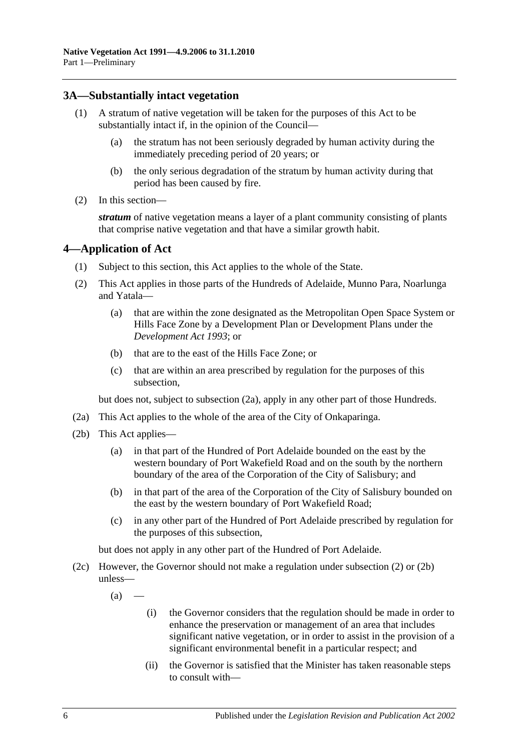## <span id="page-5-0"></span>**3A—Substantially intact vegetation**

- (1) A stratum of native vegetation will be taken for the purposes of this Act to be substantially intact if, in the opinion of the Council—
	- (a) the stratum has not been seriously degraded by human activity during the immediately preceding period of 20 years; or
	- (b) the only serious degradation of the stratum by human activity during that period has been caused by fire.
- (2) In this section—

*stratum* of native vegetation means a layer of a plant community consisting of plants that comprise native vegetation and that have a similar growth habit.

## <span id="page-5-1"></span>**4—Application of Act**

- (1) Subject to this section, this Act applies to the whole of the State.
- <span id="page-5-3"></span>(2) This Act applies in those parts of the Hundreds of Adelaide, Munno Para, Noarlunga and Yatala—
	- (a) that are within the zone designated as the Metropolitan Open Space System or Hills Face Zone by a Development Plan or Development Plans under the *[Development Act](http://www.legislation.sa.gov.au/index.aspx?action=legref&type=act&legtitle=Development%20Act%201993) 1993*; or
	- (b) that are to the east of the Hills Face Zone; or
	- (c) that are within an area prescribed by regulation for the purposes of this subsection,

but does not, subject to [subsection](#page-5-2) (2a), apply in any other part of those Hundreds.

- <span id="page-5-2"></span>(2a) This Act applies to the whole of the area of the City of Onkaparinga.
- <span id="page-5-4"></span>(2b) This Act applies—
	- (a) in that part of the Hundred of Port Adelaide bounded on the east by the western boundary of Port Wakefield Road and on the south by the northern boundary of the area of the Corporation of the City of Salisbury; and
	- (b) in that part of the area of the Corporation of the City of Salisbury bounded on the east by the western boundary of Port Wakefield Road;
	- (c) in any other part of the Hundred of Port Adelaide prescribed by regulation for the purposes of this subsection,

but does not apply in any other part of the Hundred of Port Adelaide.

- <span id="page-5-5"></span>(2c) However, the Governor should not make a regulation under [subsection](#page-5-3) (2) or [\(2b\)](#page-5-4) unless—
	- $(a)$ 
		- (i) the Governor considers that the regulation should be made in order to enhance the preservation or management of an area that includes significant native vegetation, or in order to assist in the provision of a significant environmental benefit in a particular respect; and
		- (ii) the Governor is satisfied that the Minister has taken reasonable steps to consult with—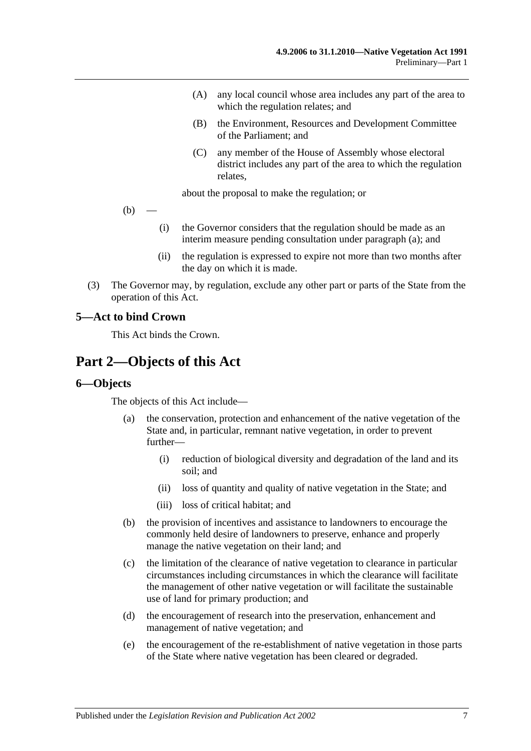- (A) any local council whose area includes any part of the area to which the regulation relates; and
- (B) the Environment, Resources and Development Committee of the Parliament; and
- (C) any member of the House of Assembly whose electoral district includes any part of the area to which the regulation relates,

about the proposal to make the regulation; or

- $(b)$ 
	- (i) the Governor considers that the regulation should be made as an interim measure pending consultation under [paragraph](#page-5-5) (a); and
	- (ii) the regulation is expressed to expire not more than two months after the day on which it is made.
- (3) The Governor may, by regulation, exclude any other part or parts of the State from the operation of this Act.

#### <span id="page-6-0"></span>**5—Act to bind Crown**

This Act binds the Crown.

# <span id="page-6-1"></span>**Part 2—Objects of this Act**

#### <span id="page-6-2"></span>**6—Objects**

The objects of this Act include—

- (a) the conservation, protection and enhancement of the native vegetation of the State and, in particular, remnant native vegetation, in order to prevent further—
	- (i) reduction of biological diversity and degradation of the land and its soil; and
	- (ii) loss of quantity and quality of native vegetation in the State; and
	- (iii) loss of critical habitat; and
- (b) the provision of incentives and assistance to landowners to encourage the commonly held desire of landowners to preserve, enhance and properly manage the native vegetation on their land; and
- (c) the limitation of the clearance of native vegetation to clearance in particular circumstances including circumstances in which the clearance will facilitate the management of other native vegetation or will facilitate the sustainable use of land for primary production; and
- (d) the encouragement of research into the preservation, enhancement and management of native vegetation; and
- (e) the encouragement of the re-establishment of native vegetation in those parts of the State where native vegetation has been cleared or degraded.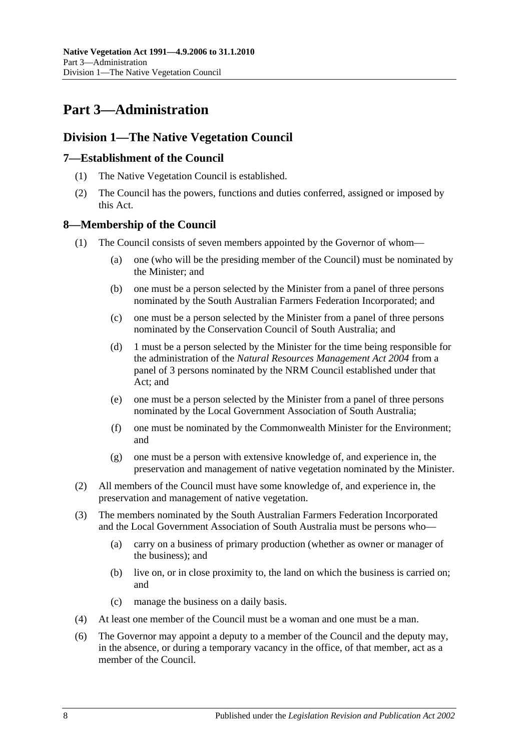# <span id="page-7-0"></span>**Part 3—Administration**

## <span id="page-7-1"></span>**Division 1—The Native Vegetation Council**

## <span id="page-7-2"></span>**7—Establishment of the Council**

- (1) The Native Vegetation Council is established.
- (2) The Council has the powers, functions and duties conferred, assigned or imposed by this Act.

## <span id="page-7-3"></span>**8—Membership of the Council**

- (1) The Council consists of seven members appointed by the Governor of whom—
	- (a) one (who will be the presiding member of the Council) must be nominated by the Minister; and
	- (b) one must be a person selected by the Minister from a panel of three persons nominated by the South Australian Farmers Federation Incorporated; and
	- (c) one must be a person selected by the Minister from a panel of three persons nominated by the Conservation Council of South Australia; and
	- (d) 1 must be a person selected by the Minister for the time being responsible for the administration of the *[Natural Resources Management Act](http://www.legislation.sa.gov.au/index.aspx?action=legref&type=act&legtitle=Natural%20Resources%20Management%20Act%202004) 2004* from a panel of 3 persons nominated by the NRM Council established under that Act; and
	- (e) one must be a person selected by the Minister from a panel of three persons nominated by the Local Government Association of South Australia;
	- (f) one must be nominated by the Commonwealth Minister for the Environment; and
	- (g) one must be a person with extensive knowledge of, and experience in, the preservation and management of native vegetation nominated by the Minister.
- (2) All members of the Council must have some knowledge of, and experience in, the preservation and management of native vegetation.
- (3) The members nominated by the South Australian Farmers Federation Incorporated and the Local Government Association of South Australia must be persons who—
	- (a) carry on a business of primary production (whether as owner or manager of the business); and
	- (b) live on, or in close proximity to, the land on which the business is carried on; and
	- (c) manage the business on a daily basis.
- (4) At least one member of the Council must be a woman and one must be a man.
- (6) The Governor may appoint a deputy to a member of the Council and the deputy may, in the absence, or during a temporary vacancy in the office, of that member, act as a member of the Council.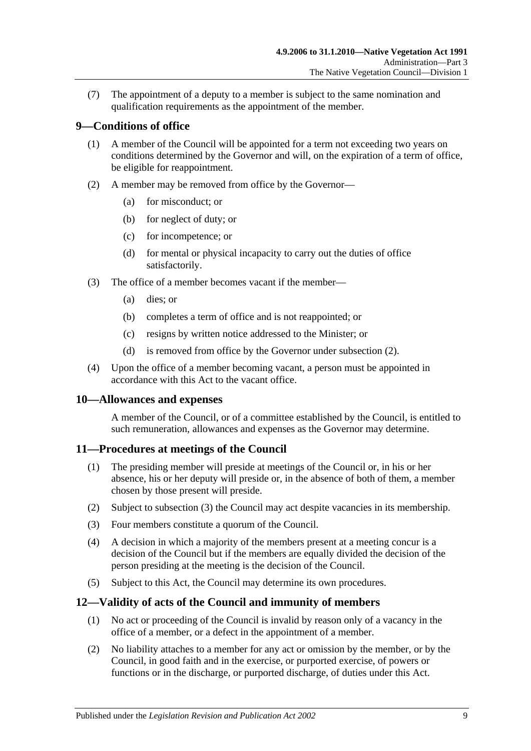(7) The appointment of a deputy to a member is subject to the same nomination and qualification requirements as the appointment of the member.

## <span id="page-8-0"></span>**9—Conditions of office**

- (1) A member of the Council will be appointed for a term not exceeding two years on conditions determined by the Governor and will, on the expiration of a term of office, be eligible for reappointment.
- <span id="page-8-4"></span>(2) A member may be removed from office by the Governor—
	- (a) for misconduct; or
	- (b) for neglect of duty; or
	- (c) for incompetence; or
	- (d) for mental or physical incapacity to carry out the duties of office satisfactorily.
- (3) The office of a member becomes vacant if the member—
	- (a) dies; or
	- (b) completes a term of office and is not reappointed; or
	- (c) resigns by written notice addressed to the Minister; or
	- (d) is removed from office by the Governor under [subsection](#page-8-4) (2).
- (4) Upon the office of a member becoming vacant, a person must be appointed in accordance with this Act to the vacant office.

#### <span id="page-8-1"></span>**10—Allowances and expenses**

A member of the Council, or of a committee established by the Council, is entitled to such remuneration, allowances and expenses as the Governor may determine.

#### <span id="page-8-2"></span>**11—Procedures at meetings of the Council**

- (1) The presiding member will preside at meetings of the Council or, in his or her absence, his or her deputy will preside or, in the absence of both of them, a member chosen by those present will preside.
- (2) Subject to [subsection](#page-8-5) (3) the Council may act despite vacancies in its membership.
- <span id="page-8-5"></span>(3) Four members constitute a quorum of the Council.
- (4) A decision in which a majority of the members present at a meeting concur is a decision of the Council but if the members are equally divided the decision of the person presiding at the meeting is the decision of the Council.
- (5) Subject to this Act, the Council may determine its own procedures.

## <span id="page-8-3"></span>**12—Validity of acts of the Council and immunity of members**

- (1) No act or proceeding of the Council is invalid by reason only of a vacancy in the office of a member, or a defect in the appointment of a member.
- <span id="page-8-6"></span>(2) No liability attaches to a member for any act or omission by the member, or by the Council, in good faith and in the exercise, or purported exercise, of powers or functions or in the discharge, or purported discharge, of duties under this Act.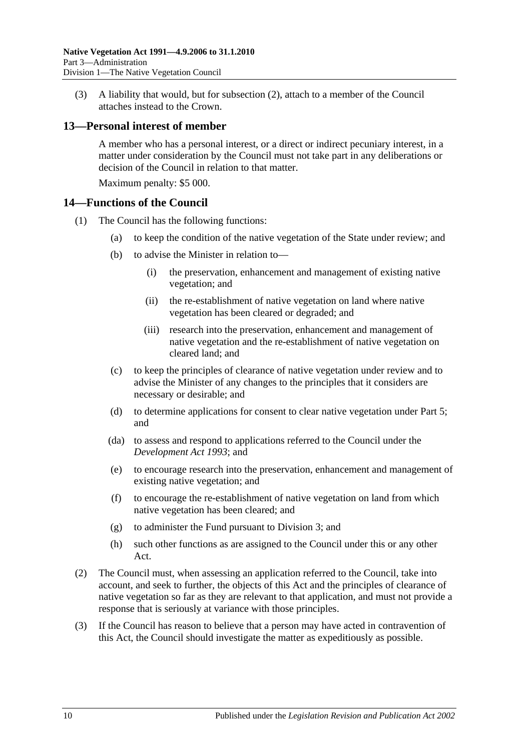(3) A liability that would, but for [subsection](#page-8-6) (2), attach to a member of the Council attaches instead to the Crown.

#### <span id="page-9-0"></span>**13—Personal interest of member**

A member who has a personal interest, or a direct or indirect pecuniary interest, in a matter under consideration by the Council must not take part in any deliberations or decision of the Council in relation to that matter.

Maximum penalty: \$5 000.

#### <span id="page-9-1"></span>**14—Functions of the Council**

- (1) The Council has the following functions:
	- (a) to keep the condition of the native vegetation of the State under review; and
	- (b) to advise the Minister in relation to—
		- (i) the preservation, enhancement and management of existing native vegetation; and
		- (ii) the re-establishment of native vegetation on land where native vegetation has been cleared or degraded; and
		- (iii) research into the preservation, enhancement and management of native vegetation and the re-establishment of native vegetation on cleared land; and
	- (c) to keep the principles of clearance of native vegetation under review and to advise the Minister of any changes to the principles that it considers are necessary or desirable; and
	- (d) to determine applications for consent to clear native vegetation under [Part 5;](#page-18-0) and
	- (da) to assess and respond to applications referred to the Council under the *[Development Act](http://www.legislation.sa.gov.au/index.aspx?action=legref&type=act&legtitle=Development%20Act%201993) 1993*; and
	- (e) to encourage research into the preservation, enhancement and management of existing native vegetation; and
	- (f) to encourage the re-establishment of native vegetation on land from which native vegetation has been cleared; and
	- (g) to administer the Fund pursuant to [Division 3;](#page-11-2) and
	- (h) such other functions as are assigned to the Council under this or any other Act.
- (2) The Council must, when assessing an application referred to the Council, take into account, and seek to further, the objects of this Act and the principles of clearance of native vegetation so far as they are relevant to that application, and must not provide a response that is seriously at variance with those principles.
- (3) If the Council has reason to believe that a person may have acted in contravention of this Act, the Council should investigate the matter as expeditiously as possible.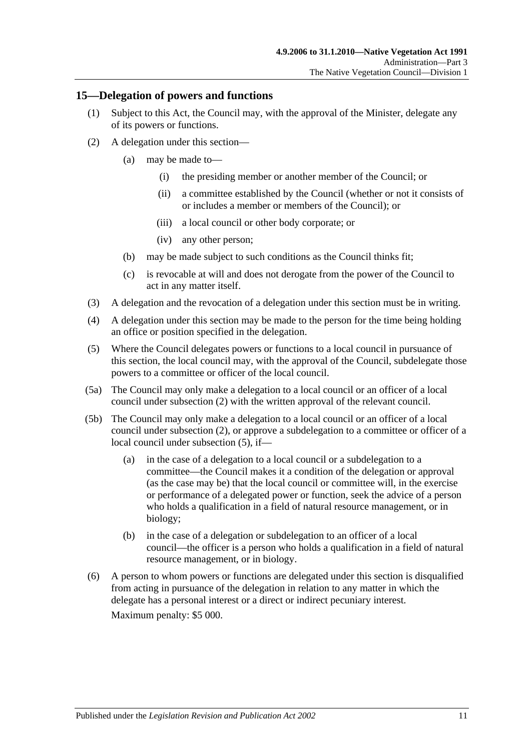#### <span id="page-10-0"></span>**15—Delegation of powers and functions**

- (1) Subject to this Act, the Council may, with the approval of the Minister, delegate any of its powers or functions.
- <span id="page-10-1"></span>(2) A delegation under this section—
	- (a) may be made to—
		- (i) the presiding member or another member of the Council; or
		- (ii) a committee established by the Council (whether or not it consists of or includes a member or members of the Council); or
		- (iii) a local council or other body corporate; or
		- (iv) any other person;
	- (b) may be made subject to such conditions as the Council thinks fit;
	- (c) is revocable at will and does not derogate from the power of the Council to act in any matter itself.
- (3) A delegation and the revocation of a delegation under this section must be in writing.
- (4) A delegation under this section may be made to the person for the time being holding an office or position specified in the delegation.
- <span id="page-10-2"></span>(5) Where the Council delegates powers or functions to a local council in pursuance of this section, the local council may, with the approval of the Council, subdelegate those powers to a committee or officer of the local council.
- (5a) The Council may only make a delegation to a local council or an officer of a local council under [subsection](#page-10-1) (2) with the written approval of the relevant council.
- (5b) The Council may only make a delegation to a local council or an officer of a local council under [subsection](#page-10-1) (2), or approve a subdelegation to a committee or officer of a local council under [subsection](#page-10-2) (5), if—
	- (a) in the case of a delegation to a local council or a subdelegation to a committee—the Council makes it a condition of the delegation or approval (as the case may be) that the local council or committee will, in the exercise or performance of a delegated power or function, seek the advice of a person who holds a qualification in a field of natural resource management, or in biology;
	- (b) in the case of a delegation or subdelegation to an officer of a local council—the officer is a person who holds a qualification in a field of natural resource management, or in biology.
- (6) A person to whom powers or functions are delegated under this section is disqualified from acting in pursuance of the delegation in relation to any matter in which the delegate has a personal interest or a direct or indirect pecuniary interest.

Maximum penalty: \$5 000.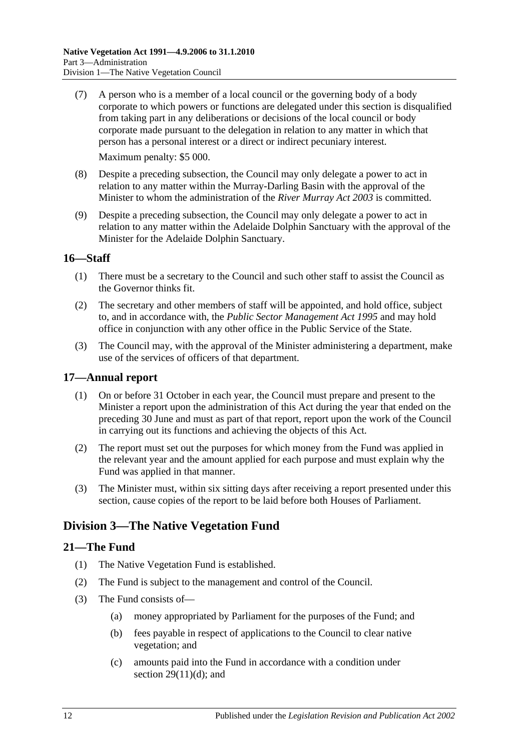- (7) A person who is a member of a local council or the governing body of a body corporate to which powers or functions are delegated under this section is disqualified from taking part in any deliberations or decisions of the local council or body corporate made pursuant to the delegation in relation to any matter in which that person has a personal interest or a direct or indirect pecuniary interest. Maximum penalty: \$5 000.
- (8) Despite a preceding subsection, the Council may only delegate a power to act in relation to any matter within the Murray-Darling Basin with the approval of the Minister to whom the administration of the *[River Murray Act](http://www.legislation.sa.gov.au/index.aspx?action=legref&type=act&legtitle=River%20Murray%20Act%202003) 2003* is committed.
- (9) Despite a preceding subsection, the Council may only delegate a power to act in relation to any matter within the Adelaide Dolphin Sanctuary with the approval of the Minister for the Adelaide Dolphin Sanctuary.

## <span id="page-11-0"></span>**16—Staff**

- (1) There must be a secretary to the Council and such other staff to assist the Council as the Governor thinks fit.
- (2) The secretary and other members of staff will be appointed, and hold office, subject to, and in accordance with, the *[Public Sector Management Act](http://www.legislation.sa.gov.au/index.aspx?action=legref&type=act&legtitle=Public%20Sector%20Management%20Act%201995) 1995* and may hold office in conjunction with any other office in the Public Service of the State.
- (3) The Council may, with the approval of the Minister administering a department, make use of the services of officers of that department.

## <span id="page-11-1"></span>**17—Annual report**

- (1) On or before 31 October in each year, the Council must prepare and present to the Minister a report upon the administration of this Act during the year that ended on the preceding 30 June and must as part of that report, report upon the work of the Council in carrying out its functions and achieving the objects of this Act.
- (2) The report must set out the purposes for which money from the Fund was applied in the relevant year and the amount applied for each purpose and must explain why the Fund was applied in that manner.
- (3) The Minister must, within six sitting days after receiving a report presented under this section, cause copies of the report to be laid before both Houses of Parliament.

## <span id="page-11-2"></span>**Division 3—The Native Vegetation Fund**

## <span id="page-11-3"></span>**21—The Fund**

- (1) The Native Vegetation Fund is established.
- (2) The Fund is subject to the management and control of the Council.
- <span id="page-11-4"></span>(3) The Fund consists of—
	- (a) money appropriated by Parliament for the purposes of the Fund; and
	- (b) fees payable in respect of applications to the Council to clear native vegetation; and
	- (c) amounts paid into the Fund in accordance with a condition under section  $29(11)(d)$ ; and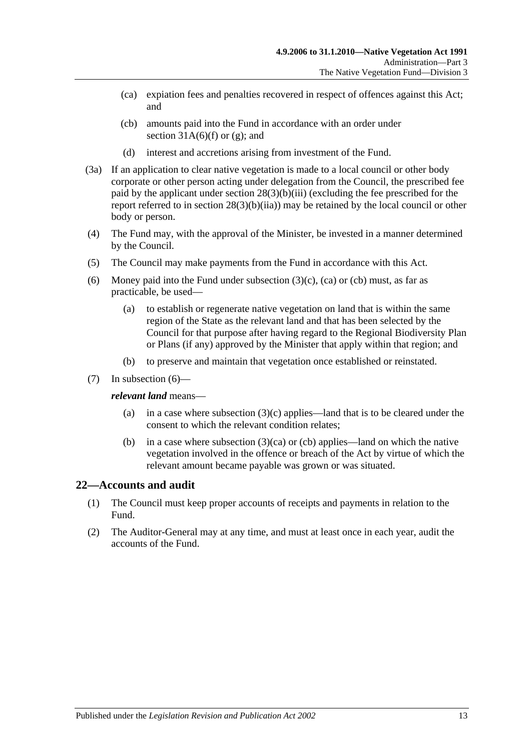- <span id="page-12-1"></span>(ca) expiation fees and penalties recovered in respect of offences against this Act; and
- <span id="page-12-2"></span>(cb) amounts paid into the Fund in accordance with an order under section  $31A(6)(f)$  or  $(g)$ ; and
- (d) interest and accretions arising from investment of the Fund.
- (3a) If an application to clear native vegetation is made to a local council or other body corporate or other person acting under delegation from the Council, the prescribed fee paid by the applicant under section [28\(3\)\(b\)\(iii\)](#page-20-1) (excluding the fee prescribed for the report referred to in section [28\(3\)\(b\)\(iia\)\)](#page-20-2) may be retained by the local council or other body or person.
- (4) The Fund may, with the approval of the Minister, be invested in a manner determined by the Council.
- (5) The Council may make payments from the Fund in accordance with this Act.
- <span id="page-12-3"></span>(6) Money paid into the Fund under [subsection](#page-11-4)  $(3)(c)$ ,  $(ca)$  or  $(cb)$  must, as far as practicable, be used—
	- (a) to establish or regenerate native vegetation on land that is within the same region of the State as the relevant land and that has been selected by the Council for that purpose after having regard to the Regional Biodiversity Plan or Plans (if any) approved by the Minister that apply within that region; and
	- (b) to preserve and maintain that vegetation once established or reinstated.
- (7) In [subsection](#page-12-3) (6)—

#### *relevant land* means—

- (a) in a case where [subsection](#page-11-4)  $(3)(c)$  applies—land that is to be cleared under the consent to which the relevant condition relates;
- (b) in a case where [subsection](#page-12-1)  $(3)(ca)$  or [\(cb\)](#page-12-2) applies—land on which the native vegetation involved in the offence or breach of the Act by virtue of which the relevant amount became payable was grown or was situated.

#### <span id="page-12-0"></span>**22—Accounts and audit**

- (1) The Council must keep proper accounts of receipts and payments in relation to the Fund.
- (2) The Auditor-General may at any time, and must at least once in each year, audit the accounts of the Fund.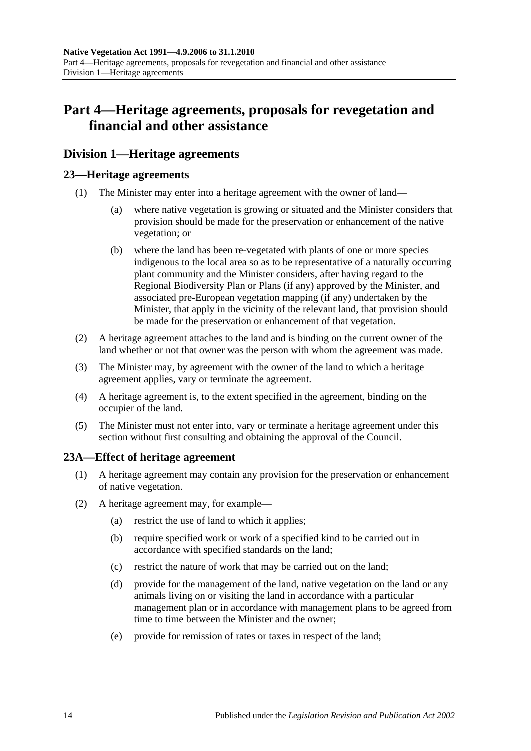# <span id="page-13-0"></span>**Part 4—Heritage agreements, proposals for revegetation and financial and other assistance**

## <span id="page-13-1"></span>**Division 1—Heritage agreements**

## <span id="page-13-2"></span>**23—Heritage agreements**

- (1) The Minister may enter into a heritage agreement with the owner of land
	- where native vegetation is growing or situated and the Minister considers that provision should be made for the preservation or enhancement of the native vegetation; or
	- (b) where the land has been re-vegetated with plants of one or more species indigenous to the local area so as to be representative of a naturally occurring plant community and the Minister considers, after having regard to the Regional Biodiversity Plan or Plans (if any) approved by the Minister, and associated pre-European vegetation mapping (if any) undertaken by the Minister, that apply in the vicinity of the relevant land, that provision should be made for the preservation or enhancement of that vegetation.
- (2) A heritage agreement attaches to the land and is binding on the current owner of the land whether or not that owner was the person with whom the agreement was made.
- (3) The Minister may, by agreement with the owner of the land to which a heritage agreement applies, vary or terminate the agreement.
- (4) A heritage agreement is, to the extent specified in the agreement, binding on the occupier of the land.
- (5) The Minister must not enter into, vary or terminate a heritage agreement under this section without first consulting and obtaining the approval of the Council.

## <span id="page-13-3"></span>**23A—Effect of heritage agreement**

- (1) A heritage agreement may contain any provision for the preservation or enhancement of native vegetation.
- <span id="page-13-4"></span>(2) A heritage agreement may, for example—
	- (a) restrict the use of land to which it applies;
	- (b) require specified work or work of a specified kind to be carried out in accordance with specified standards on the land;
	- (c) restrict the nature of work that may be carried out on the land;
	- (d) provide for the management of the land, native vegetation on the land or any animals living on or visiting the land in accordance with a particular management plan or in accordance with management plans to be agreed from time to time between the Minister and the owner;
	- (e) provide for remission of rates or taxes in respect of the land;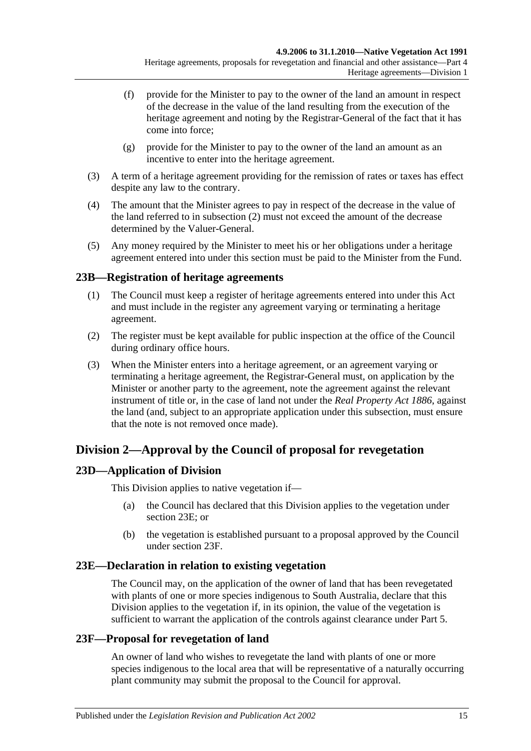- (f) provide for the Minister to pay to the owner of the land an amount in respect of the decrease in the value of the land resulting from the execution of the heritage agreement and noting by the Registrar-General of the fact that it has come into force;
- (g) provide for the Minister to pay to the owner of the land an amount as an incentive to enter into the heritage agreement.
- (3) A term of a heritage agreement providing for the remission of rates or taxes has effect despite any law to the contrary.
- (4) The amount that the Minister agrees to pay in respect of the decrease in the value of the land referred to in [subsection](#page-13-4) (2) must not exceed the amount of the decrease determined by the Valuer-General.
- (5) Any money required by the Minister to meet his or her obligations under a heritage agreement entered into under this section must be paid to the Minister from the Fund.

## <span id="page-14-0"></span>**23B—Registration of heritage agreements**

- (1) The Council must keep a register of heritage agreements entered into under this Act and must include in the register any agreement varying or terminating a heritage agreement.
- (2) The register must be kept available for public inspection at the office of the Council during ordinary office hours.
- (3) When the Minister enters into a heritage agreement, or an agreement varying or terminating a heritage agreement, the Registrar-General must, on application by the Minister or another party to the agreement, note the agreement against the relevant instrument of title or, in the case of land not under the *[Real Property Act](http://www.legislation.sa.gov.au/index.aspx?action=legref&type=act&legtitle=Real%20Property%20Act%201886) 1886*, against the land (and, subject to an appropriate application under this subsection, must ensure that the note is not removed once made).

## <span id="page-14-1"></span>**Division 2—Approval by the Council of proposal for revegetation**

## <span id="page-14-2"></span>**23D—Application of Division**

This Division applies to native vegetation if—

- (a) the Council has declared that this Division applies to the vegetation under [section](#page-14-3) 23E; or
- (b) the vegetation is established pursuant to a proposal approved by the Council under [section](#page-14-4) 23F.

## <span id="page-14-3"></span>**23E—Declaration in relation to existing vegetation**

The Council may, on the application of the owner of land that has been revegetated with plants of one or more species indigenous to South Australia, declare that this Division applies to the vegetation if, in its opinion, the value of the vegetation is sufficient to warrant the application of the controls against clearance under [Part 5.](#page-18-0)

## <span id="page-14-4"></span>**23F—Proposal for revegetation of land**

An owner of land who wishes to revegetate the land with plants of one or more species indigenous to the local area that will be representative of a naturally occurring plant community may submit the proposal to the Council for approval.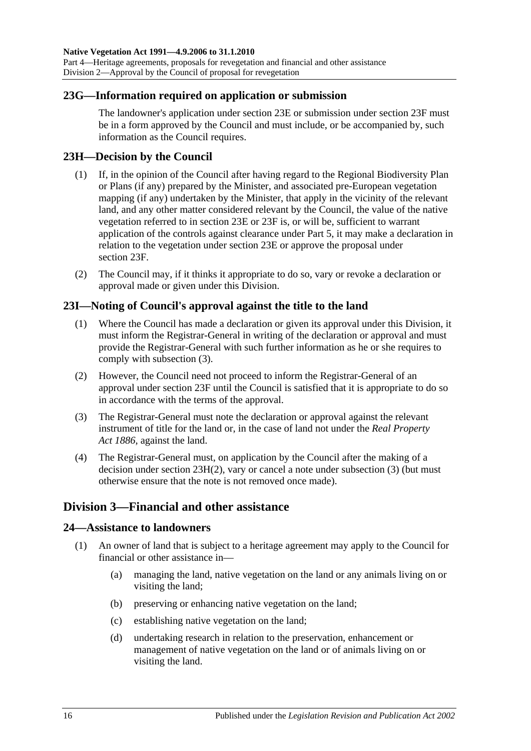#### <span id="page-15-0"></span>**23G—Information required on application or submission**

The landowner's application under [section](#page-14-3) 23E or submission under [section](#page-14-4) 23F must be in a form approved by the Council and must include, or be accompanied by, such information as the Council requires.

#### <span id="page-15-1"></span>**23H—Decision by the Council**

- (1) If, in the opinion of the Council after having regard to the Regional Biodiversity Plan or Plans (if any) prepared by the Minister, and associated pre-European vegetation mapping (if any) undertaken by the Minister, that apply in the vicinity of the relevant land, and any other matter considered relevant by the Council, the value of the native vegetation referred to in [section](#page-14-3) 23E or [23F](#page-14-4) is, or will be, sufficient to warrant application of the controls against clearance under [Part 5,](#page-18-0) it may make a declaration in relation to the vegetation under [section](#page-14-3) 23E or approve the proposal under [section](#page-14-4) 23F.
- <span id="page-15-6"></span>(2) The Council may, if it thinks it appropriate to do so, vary or revoke a declaration or approval made or given under this Division.

#### <span id="page-15-2"></span>**23I—Noting of Council's approval against the title to the land**

- (1) Where the Council has made a declaration or given its approval under this Division, it must inform the Registrar-General in writing of the declaration or approval and must provide the Registrar-General with such further information as he or she requires to comply with [subsection](#page-15-5) (3).
- (2) However, the Council need not proceed to inform the Registrar-General of an approval under [section](#page-14-4) 23F until the Council is satisfied that it is appropriate to do so in accordance with the terms of the approval.
- <span id="page-15-5"></span>(3) The Registrar-General must note the declaration or approval against the relevant instrument of title for the land or, in the case of land not under the *[Real Property](http://www.legislation.sa.gov.au/index.aspx?action=legref&type=act&legtitle=Real%20Property%20Act%201886)  Act [1886](http://www.legislation.sa.gov.au/index.aspx?action=legref&type=act&legtitle=Real%20Property%20Act%201886)*, against the land.
- (4) The Registrar-General must, on application by the Council after the making of a decision under section [23H\(2\),](#page-15-6) vary or cancel a note under [subsection](#page-15-5) (3) (but must otherwise ensure that the note is not removed once made).

## <span id="page-15-3"></span>**Division 3—Financial and other assistance**

#### <span id="page-15-7"></span><span id="page-15-4"></span>**24—Assistance to landowners**

- (1) An owner of land that is subject to a heritage agreement may apply to the Council for financial or other assistance in—
	- (a) managing the land, native vegetation on the land or any animals living on or visiting the land;
	- (b) preserving or enhancing native vegetation on the land;
	- (c) establishing native vegetation on the land;
	- (d) undertaking research in relation to the preservation, enhancement or management of native vegetation on the land or of animals living on or visiting the land.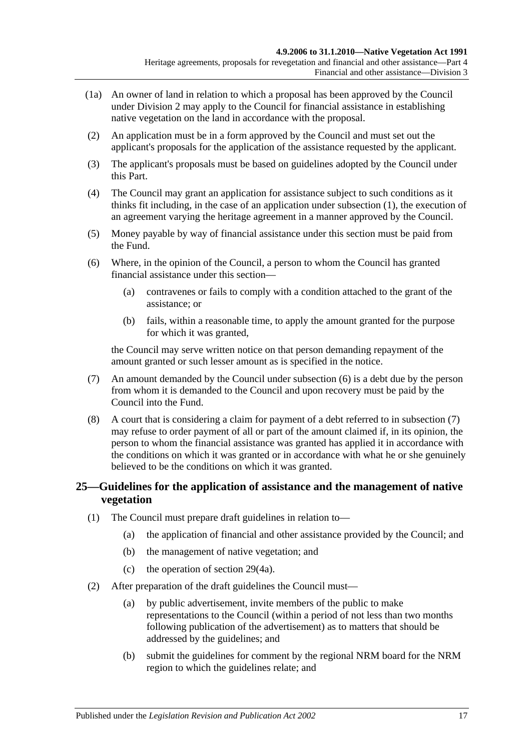- (1a) An owner of land in relation to which a proposal has been approved by the Council under [Division 2](#page-14-1) may apply to the Council for financial assistance in establishing native vegetation on the land in accordance with the proposal.
- (2) An application must be in a form approved by the Council and must set out the applicant's proposals for the application of the assistance requested by the applicant.
- (3) The applicant's proposals must be based on guidelines adopted by the Council under this Part.
- (4) The Council may grant an application for assistance subject to such conditions as it thinks fit including, in the case of an application under [subsection](#page-15-7) (1), the execution of an agreement varying the heritage agreement in a manner approved by the Council.
- (5) Money payable by way of financial assistance under this section must be paid from the Fund.
- <span id="page-16-1"></span>(6) Where, in the opinion of the Council, a person to whom the Council has granted financial assistance under this section—
	- (a) contravenes or fails to comply with a condition attached to the grant of the assistance; or
	- (b) fails, within a reasonable time, to apply the amount granted for the purpose for which it was granted,

the Council may serve written notice on that person demanding repayment of the amount granted or such lesser amount as is specified in the notice.

- <span id="page-16-2"></span>(7) An amount demanded by the Council under [subsection](#page-16-1) (6) is a debt due by the person from whom it is demanded to the Council and upon recovery must be paid by the Council into the Fund.
- (8) A court that is considering a claim for payment of a debt referred to in [subsection](#page-16-2) (7) may refuse to order payment of all or part of the amount claimed if, in its opinion, the person to whom the financial assistance was granted has applied it in accordance with the conditions on which it was granted or in accordance with what he or she genuinely believed to be the conditions on which it was granted.

## <span id="page-16-0"></span>**25—Guidelines for the application of assistance and the management of native vegetation**

- (1) The Council must prepare draft guidelines in relation to—
	- (a) the application of financial and other assistance provided by the Council; and
	- (b) the management of native vegetation; and
	- (c) the operation of [section](#page-21-1) 29(4a).
- <span id="page-16-5"></span><span id="page-16-4"></span><span id="page-16-3"></span>(2) After preparation of the draft guidelines the Council must—
	- (a) by public advertisement, invite members of the public to make representations to the Council (within a period of not less than two months following publication of the advertisement) as to matters that should be addressed by the guidelines; and
	- (b) submit the guidelines for comment by the regional NRM board for the NRM region to which the guidelines relate; and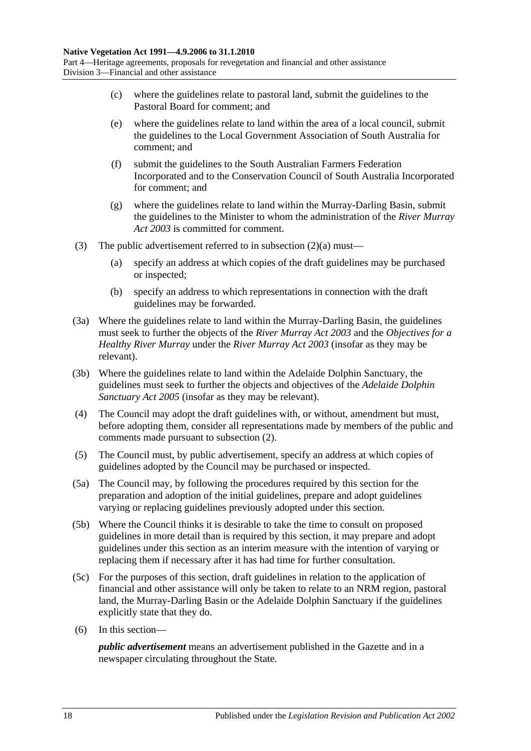- (c) where the guidelines relate to pastoral land, submit the guidelines to the Pastoral Board for comment; and
- (e) where the guidelines relate to land within the area of a local council, submit the guidelines to the Local Government Association of South Australia for comment; and
- (f) submit the guidelines to the South Australian Farmers Federation Incorporated and to the Conservation Council of South Australia Incorporated for comment; and
- (g) where the guidelines relate to land within the Murray-Darling Basin, submit the guidelines to the Minister to whom the administration of the *[River Murray](http://www.legislation.sa.gov.au/index.aspx?action=legref&type=act&legtitle=River%20Murray%20Act%202003)  Act [2003](http://www.legislation.sa.gov.au/index.aspx?action=legref&type=act&legtitle=River%20Murray%20Act%202003)* is committed for comment.
- (3) The public advertisement referred to in [subsection](#page-16-3)  $(2)(a)$  must—
	- (a) specify an address at which copies of the draft guidelines may be purchased or inspected;
	- (b) specify an address to which representations in connection with the draft guidelines may be forwarded.
- (3a) Where the guidelines relate to land within the Murray-Darling Basin, the guidelines must seek to further the objects of the *[River Murray Act](http://www.legislation.sa.gov.au/index.aspx?action=legref&type=act&legtitle=River%20Murray%20Act%202003) 2003* and the *Objectives for a Healthy River Murray* under the *[River Murray Act](http://www.legislation.sa.gov.au/index.aspx?action=legref&type=act&legtitle=River%20Murray%20Act%202003) 2003* (insofar as they may be relevant).
- (3b) Where the guidelines relate to land within the Adelaide Dolphin Sanctuary, the guidelines must seek to further the objects and objectives of the *[Adelaide Dolphin](http://www.legislation.sa.gov.au/index.aspx?action=legref&type=act&legtitle=Adelaide%20Dolphin%20Sanctuary%20Act%202005)  [Sanctuary Act](http://www.legislation.sa.gov.au/index.aspx?action=legref&type=act&legtitle=Adelaide%20Dolphin%20Sanctuary%20Act%202005) 2005* (insofar as they may be relevant).
- (4) The Council may adopt the draft guidelines with, or without, amendment but must, before adopting them, consider all representations made by members of the public and comments made pursuant to [subsection](#page-16-4) (2).
- (5) The Council must, by public advertisement, specify an address at which copies of guidelines adopted by the Council may be purchased or inspected.
- (5a) The Council may, by following the procedures required by this section for the preparation and adoption of the initial guidelines, prepare and adopt guidelines varying or replacing guidelines previously adopted under this section.
- (5b) Where the Council thinks it is desirable to take the time to consult on proposed guidelines in more detail than is required by this section, it may prepare and adopt guidelines under this section as an interim measure with the intention of varying or replacing them if necessary after it has had time for further consultation.
- (5c) For the purposes of this section, draft guidelines in relation to the application of financial and other assistance will only be taken to relate to an NRM region, pastoral land, the Murray-Darling Basin or the Adelaide Dolphin Sanctuary if the guidelines explicitly state that they do.
- (6) In this section—

*public advertisement* means an advertisement published in the Gazette and in a newspaper circulating throughout the State.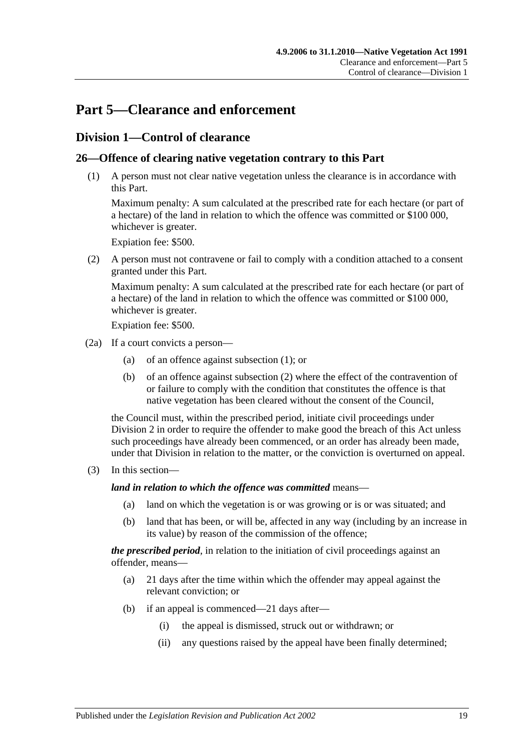# <span id="page-18-0"></span>**Part 5—Clearance and enforcement**

## <span id="page-18-1"></span>**Division 1—Control of clearance**

## <span id="page-18-3"></span><span id="page-18-2"></span>**26—Offence of clearing native vegetation contrary to this Part**

(1) A person must not clear native vegetation unless the clearance is in accordance with this Part.

Maximum penalty: A sum calculated at the prescribed rate for each hectare (or part of a hectare) of the land in relation to which the offence was committed or \$100 000, whichever is greater.

Expiation fee: \$500.

<span id="page-18-4"></span>(2) A person must not contravene or fail to comply with a condition attached to a consent granted under this Part.

Maximum penalty: A sum calculated at the prescribed rate for each hectare (or part of a hectare) of the land in relation to which the offence was committed or \$100 000, whichever is greater.

Expiation fee: \$500.

- (2a) If a court convicts a person—
	- (a) of an offence against [subsection](#page-18-3) (1); or
	- (b) of an offence against [subsection](#page-18-4) (2) where the effect of the contravention of or failure to comply with the condition that constitutes the offence is that native vegetation has been cleared without the consent of the Council,

the Council must, within the prescribed period, initiate civil proceedings under [Division 2](#page-26-1) in order to require the offender to make good the breach of this Act unless such proceedings have already been commenced, or an order has already been made, under that Division in relation to the matter, or the conviction is overturned on appeal.

(3) In this section—

*land in relation to which the offence was committed* means—

- (a) land on which the vegetation is or was growing or is or was situated; and
- (b) land that has been, or will be, affected in any way (including by an increase in its value) by reason of the commission of the offence;

*the prescribed period*, in relation to the initiation of civil proceedings against an offender, means—

- (a) 21 days after the time within which the offender may appeal against the relevant conviction; or
- (b) if an appeal is commenced—21 days after—
	- (i) the appeal is dismissed, struck out or withdrawn; or
	- (ii) any questions raised by the appeal have been finally determined;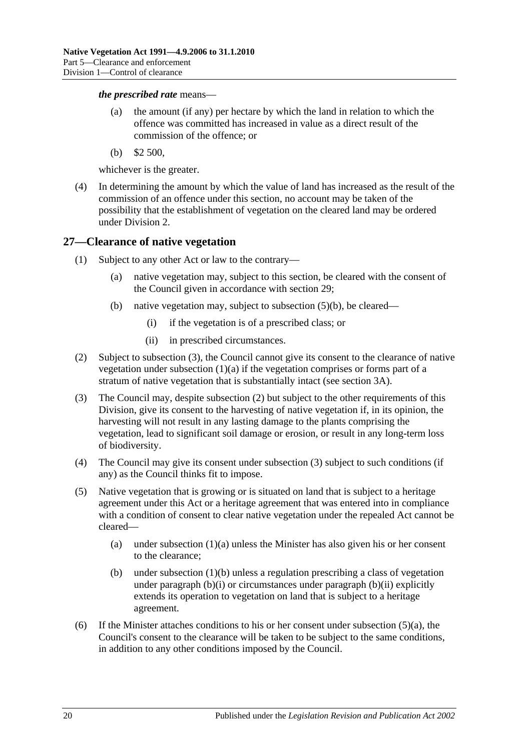#### *the prescribed rate* means—

- (a) the amount (if any) per hectare by which the land in relation to which the offence was committed has increased in value as a direct result of the commission of the offence; or
- (b) \$2 500,

whichever is the greater.

(4) In determining the amount by which the value of land has increased as the result of the commission of an offence under this section, no account may be taken of the possibility that the establishment of vegetation on the cleared land may be ordered under [Division 2.](#page-26-1)

#### <span id="page-19-0"></span>**27—Clearance of native vegetation**

- <span id="page-19-5"></span><span id="page-19-3"></span>(1) Subject to any other Act or law to the contrary—
	- (a) native vegetation may, subject to this section, be cleared with the consent of the Council given in accordance with [section](#page-21-0) 29;
	- (b) native vegetation may, subject to [subsection](#page-19-1) (5)(b), be cleared—
		- (i) if the vegetation is of a prescribed class; or
		- (ii) in prescribed circumstances.
- <span id="page-19-7"></span><span id="page-19-6"></span><span id="page-19-4"></span>(2) Subject to [subsection](#page-19-2) (3), the Council cannot give its consent to the clearance of native vegetation under [subsection](#page-19-3) (1)(a) if the vegetation comprises or forms part of a stratum of native vegetation that is substantially intact (see [section](#page-5-0) 3A).
- <span id="page-19-2"></span>(3) The Council may, despite [subsection](#page-19-4) (2) but subject to the other requirements of this Division, give its consent to the harvesting of native vegetation if, in its opinion, the harvesting will not result in any lasting damage to the plants comprising the vegetation, lead to significant soil damage or erosion, or result in any long-term loss of biodiversity.
- (4) The Council may give its consent under [subsection](#page-19-2) (3) subject to such conditions (if any) as the Council thinks fit to impose.
- <span id="page-19-8"></span>(5) Native vegetation that is growing or is situated on land that is subject to a heritage agreement under this Act or a heritage agreement that was entered into in compliance with a condition of consent to clear native vegetation under the repealed Act cannot be cleared—
	- (a) under [subsection](#page-19-3) (1)(a) unless the Minister has also given his or her consent to the clearance;
	- (b) under [subsection](#page-19-5)  $(1)(b)$  unless a regulation prescribing a class of vegetation under [paragraph](#page-19-7)  $(b)(i)$  or circumstances under paragraph  $(b)(ii)$  explicitly extends its operation to vegetation on land that is subject to a heritage agreement.
- <span id="page-19-1"></span>(6) If the Minister attaches conditions to his or her consent under [subsection](#page-19-8)  $(5)(a)$ , the Council's consent to the clearance will be taken to be subject to the same conditions, in addition to any other conditions imposed by the Council.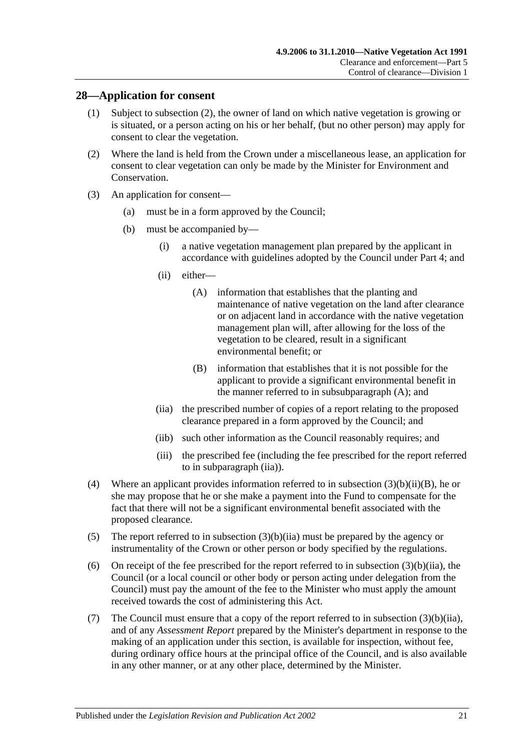#### <span id="page-20-0"></span>**28—Application for consent**

- (1) Subject to [subsection](#page-20-3) (2), the owner of land on which native vegetation is growing or is situated, or a person acting on his or her behalf, (but no other person) may apply for consent to clear the vegetation.
- <span id="page-20-3"></span>(2) Where the land is held from the Crown under a miscellaneous lease, an application for consent to clear vegetation can only be made by the Minister for Environment and Conservation.
- <span id="page-20-8"></span><span id="page-20-4"></span>(3) An application for consent—
	- (a) must be in a form approved by the Council;
	- (b) must be accompanied by—
		- (i) a native vegetation management plan prepared by the applicant in accordance with guidelines adopted by the Council under [Part 4;](#page-13-0) and
		- (ii) either—
			- (A) information that establishes that the planting and maintenance of native vegetation on the land after clearance or on adjacent land in accordance with the native vegetation management plan will, after allowing for the loss of the vegetation to be cleared, result in a significant environmental benefit; or
			- (B) information that establishes that it is not possible for the applicant to provide a significant environmental benefit in the manner referred to in [subsubparagraph](#page-20-4) (A); and
		- (iia) the prescribed number of copies of a report relating to the proposed clearance prepared in a form approved by the Council; and
		- (iib) such other information as the Council reasonably requires; and
		- (iii) the prescribed fee (including the fee prescribed for the report referred to in [subparagraph](#page-20-2) (iia)).
- <span id="page-20-6"></span><span id="page-20-5"></span><span id="page-20-2"></span><span id="page-20-1"></span>(4) Where an applicant provides information referred to in subsection  $(3)(b)(ii)(B)$ , he or she may propose that he or she make a payment into the Fund to compensate for the fact that there will not be a significant environmental benefit associated with the proposed clearance.
- <span id="page-20-7"></span>(5) The report referred to in [subsection](#page-20-2) (3)(b)(iia) must be prepared by the agency or instrumentality of the Crown or other person or body specified by the regulations.
- (6) On receipt of the fee prescribed for the report referred to in [subsection](#page-20-2)  $(3)(b)(ii)$ , the Council (or a local council or other body or person acting under delegation from the Council) must pay the amount of the fee to the Minister who must apply the amount received towards the cost of administering this Act.
- (7) The Council must ensure that a copy of the report referred to in [subsection](#page-20-2) (3)(b)(iia), and of any *Assessment Report* prepared by the Minister's department in response to the making of an application under this section, is available for inspection, without fee, during ordinary office hours at the principal office of the Council, and is also available in any other manner, or at any other place, determined by the Minister.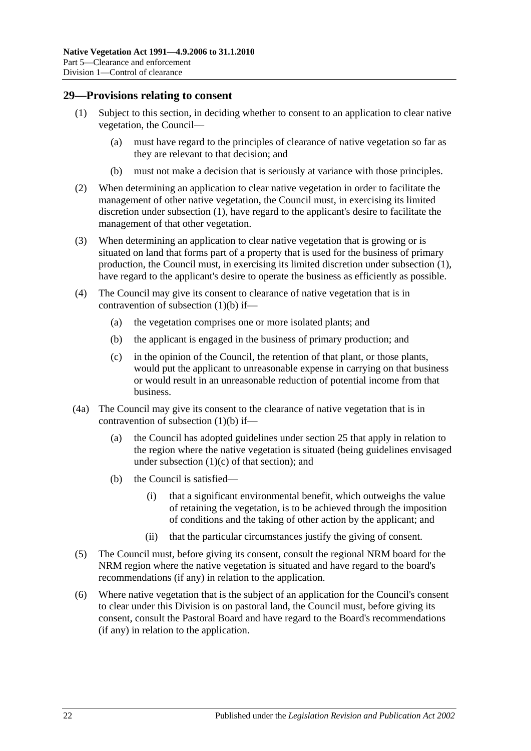#### <span id="page-21-2"></span><span id="page-21-0"></span>**29—Provisions relating to consent**

- (1) Subject to this section, in deciding whether to consent to an application to clear native vegetation, the Council—
	- (a) must have regard to the principles of clearance of native vegetation so far as they are relevant to that decision; and
	- (b) must not make a decision that is seriously at variance with those principles.
- <span id="page-21-3"></span>(2) When determining an application to clear native vegetation in order to facilitate the management of other native vegetation, the Council must, in exercising its limited discretion under [subsection](#page-21-2) (1), have regard to the applicant's desire to facilitate the management of that other vegetation.
- (3) When determining an application to clear native vegetation that is growing or is situated on land that forms part of a property that is used for the business of primary production, the Council must, in exercising its limited discretion under [subsection](#page-21-2) (1), have regard to the applicant's desire to operate the business as efficiently as possible.
- (4) The Council may give its consent to clearance of native vegetation that is in contravention of [subsection](#page-21-3) (1)(b) if—
	- (a) the vegetation comprises one or more isolated plants; and
	- (b) the applicant is engaged in the business of primary production; and
	- (c) in the opinion of the Council, the retention of that plant, or those plants, would put the applicant to unreasonable expense in carrying on that business or would result in an unreasonable reduction of potential income from that business.
- <span id="page-21-1"></span>(4a) The Council may give its consent to the clearance of native vegetation that is in contravention of [subsection](#page-21-3) (1)(b) if—
	- (a) the Council has adopted guidelines under [section](#page-16-0) 25 that apply in relation to the region where the native vegetation is situated (being guidelines envisaged under [subsection](#page-16-5)  $(1)(c)$  of that section); and
	- (b) the Council is satisfied—
		- (i) that a significant environmental benefit, which outweighs the value of retaining the vegetation, is to be achieved through the imposition of conditions and the taking of other action by the applicant; and
		- (ii) that the particular circumstances justify the giving of consent.
- (5) The Council must, before giving its consent, consult the regional NRM board for the NRM region where the native vegetation is situated and have regard to the board's recommendations (if any) in relation to the application.
- (6) Where native vegetation that is the subject of an application for the Council's consent to clear under this Division is on pastoral land, the Council must, before giving its consent, consult the Pastoral Board and have regard to the Board's recommendations (if any) in relation to the application.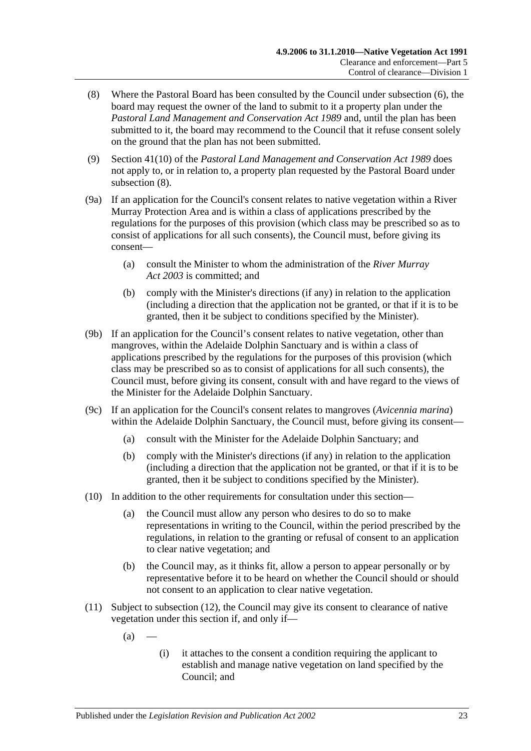- (8) Where the Pastoral Board has been consulted by the Council under subsection (6), the board may request the owner of the land to submit to it a property plan under the *[Pastoral Land Management and Conservation Act](http://www.legislation.sa.gov.au/index.aspx?action=legref&type=act&legtitle=Pastoral%20Land%20Management%20and%20Conservation%20Act%201989) 1989* and, until the plan has been submitted to it, the board may recommend to the Council that it refuse consent solely on the ground that the plan has not been submitted.
- (9) Section 41(10) of the *[Pastoral Land Management and Conservation Act](http://www.legislation.sa.gov.au/index.aspx?action=legref&type=act&legtitle=Pastoral%20Land%20Management%20and%20Conservation%20Act%201989) 1989* does not apply to, or in relation to, a property plan requested by the Pastoral Board under subsection (8).
- (9a) If an application for the Council's consent relates to native vegetation within a River Murray Protection Area and is within a class of applications prescribed by the regulations for the purposes of this provision (which class may be prescribed so as to consist of applications for all such consents), the Council must, before giving its consent—
	- (a) consult the Minister to whom the administration of the *[River Murray](http://www.legislation.sa.gov.au/index.aspx?action=legref&type=act&legtitle=River%20Murray%20Act%202003)  Act [2003](http://www.legislation.sa.gov.au/index.aspx?action=legref&type=act&legtitle=River%20Murray%20Act%202003)* is committed; and
	- (b) comply with the Minister's directions (if any) in relation to the application (including a direction that the application not be granted, or that if it is to be granted, then it be subject to conditions specified by the Minister).
- (9b) If an application for the Council's consent relates to native vegetation, other than mangroves, within the Adelaide Dolphin Sanctuary and is within a class of applications prescribed by the regulations for the purposes of this provision (which class may be prescribed so as to consist of applications for all such consents), the Council must, before giving its consent, consult with and have regard to the views of the Minister for the Adelaide Dolphin Sanctuary.
- (9c) If an application for the Council's consent relates to mangroves (*Avicennia marina*) within the Adelaide Dolphin Sanctuary, the Council must, before giving its consent—
	- (a) consult with the Minister for the Adelaide Dolphin Sanctuary; and
	- (b) comply with the Minister's directions (if any) in relation to the application (including a direction that the application not be granted, or that if it is to be granted, then it be subject to conditions specified by the Minister).
- (10) In addition to the other requirements for consultation under this section—
	- (a) the Council must allow any person who desires to do so to make representations in writing to the Council, within the period prescribed by the regulations, in relation to the granting or refusal of consent to an application to clear native vegetation; and
	- (b) the Council may, as it thinks fit, allow a person to appear personally or by representative before it to be heard on whether the Council should or should not consent to an application to clear native vegetation.
- <span id="page-22-0"></span>(11) Subject to [subsection](#page-23-1) (12), the Council may give its consent to clearance of native vegetation under this section if, and only if—
	- $(a)$
- (i) it attaches to the consent a condition requiring the applicant to establish and manage native vegetation on land specified by the Council; and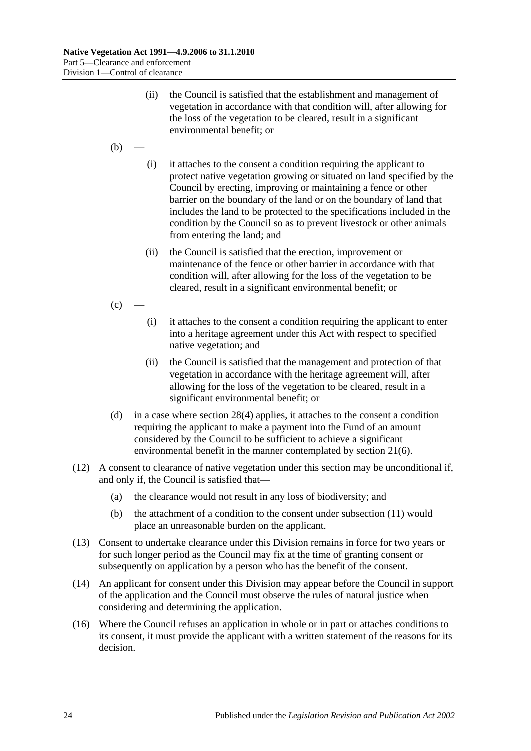- (ii) the Council is satisfied that the establishment and management of vegetation in accordance with that condition will, after allowing for the loss of the vegetation to be cleared, result in a significant environmental benefit; or
- $(b)$
- (i) it attaches to the consent a condition requiring the applicant to protect native vegetation growing or situated on land specified by the Council by erecting, improving or maintaining a fence or other barrier on the boundary of the land or on the boundary of land that includes the land to be protected to the specifications included in the condition by the Council so as to prevent livestock or other animals from entering the land; and
- (ii) the Council is satisfied that the erection, improvement or maintenance of the fence or other barrier in accordance with that condition will, after allowing for the loss of the vegetation to be cleared, result in a significant environmental benefit; or
- $(c)$ 
	- (i) it attaches to the consent a condition requiring the applicant to enter into a heritage agreement under this Act with respect to specified native vegetation; and
	- (ii) the Council is satisfied that the management and protection of that vegetation in accordance with the heritage agreement will, after allowing for the loss of the vegetation to be cleared, result in a significant environmental benefit; or
- <span id="page-23-0"></span>(d) in a case where [section](#page-20-6) 28(4) applies, it attaches to the consent a condition requiring the applicant to make a payment into the Fund of an amount considered by the Council to be sufficient to achieve a significant environmental benefit in the manner contemplated by [section](#page-12-3) 21(6).
- <span id="page-23-1"></span>(12) A consent to clearance of native vegetation under this section may be unconditional if, and only if, the Council is satisfied that—
	- (a) the clearance would not result in any loss of biodiversity; and
	- (b) the attachment of a condition to the consent under [subsection](#page-22-0) (11) would place an unreasonable burden on the applicant.
- (13) Consent to undertake clearance under this Division remains in force for two years or for such longer period as the Council may fix at the time of granting consent or subsequently on application by a person who has the benefit of the consent.
- (14) An applicant for consent under this Division may appear before the Council in support of the application and the Council must observe the rules of natural justice when considering and determining the application.
- (16) Where the Council refuses an application in whole or in part or attaches conditions to its consent, it must provide the applicant with a written statement of the reasons for its decision.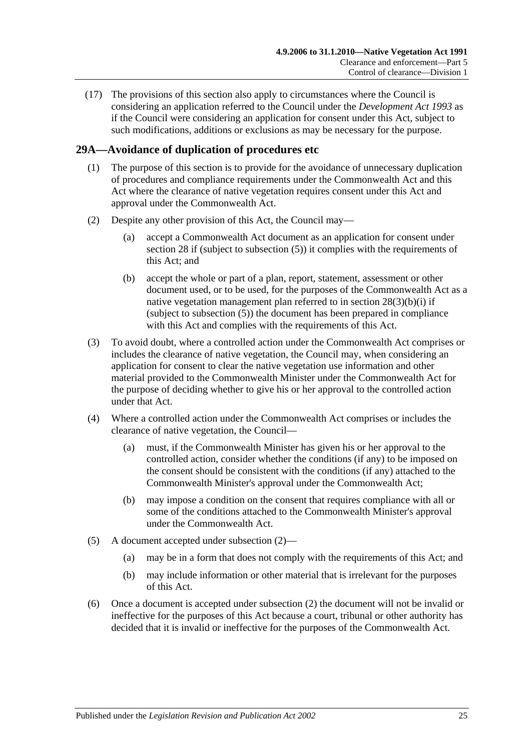(17) The provisions of this section also apply to circumstances where the Council is considering an application referred to the Council under the *[Development Act](http://www.legislation.sa.gov.au/index.aspx?action=legref&type=act&legtitle=Development%20Act%201993) 1993* as if the Council were considering an application for consent under this Act, subject to such modifications, additions or exclusions as may be necessary for the purpose.

## <span id="page-24-0"></span>**29A—Avoidance of duplication of procedures etc**

- (1) The purpose of this section is to provide for the avoidance of unnecessary duplication of procedures and compliance requirements under the Commonwealth Act and this Act where the clearance of native vegetation requires consent under this Act and approval under the Commonwealth Act.
- <span id="page-24-1"></span>(2) Despite any other provision of this Act, the Council may—
	- (a) accept a Commonwealth Act document as an application for consent under [section](#page-20-0) 28 if (subject to [subsection](#page-20-7) (5)) it complies with the requirements of this Act; and
	- (b) accept the whole or part of a plan, report, statement, assessment or other document used, or to be used, for the purposes of the Commonwealth Act as a native vegetation management plan referred to in section [28\(3\)\(b\)\(i\)](#page-20-8) if (subject to [subsection](#page-20-7) (5)) the document has been prepared in compliance with this Act and complies with the requirements of this Act.
- (3) To avoid doubt, where a controlled action under the Commonwealth Act comprises or includes the clearance of native vegetation, the Council may, when considering an application for consent to clear the native vegetation use information and other material provided to the Commonwealth Minister under the Commonwealth Act for the purpose of deciding whether to give his or her approval to the controlled action under that Act.
- (4) Where a controlled action under the Commonwealth Act comprises or includes the clearance of native vegetation, the Council—
	- (a) must, if the Commonwealth Minister has given his or her approval to the controlled action, consider whether the conditions (if any) to be imposed on the consent should be consistent with the conditions (if any) attached to the Commonwealth Minister's approval under the Commonwealth Act;
	- (b) may impose a condition on the consent that requires compliance with all or some of the conditions attached to the Commonwealth Minister's approval under the Commonwealth Act.
- (5) A document accepted under [subsection](#page-24-1) (2)—
	- (a) may be in a form that does not comply with the requirements of this Act; and
	- (b) may include information or other material that is irrelevant for the purposes of this Act.
- (6) Once a document is accepted under [subsection](#page-24-1) (2) the document will not be invalid or ineffective for the purposes of this Act because a court, tribunal or other authority has decided that it is invalid or ineffective for the purposes of the Commonwealth Act.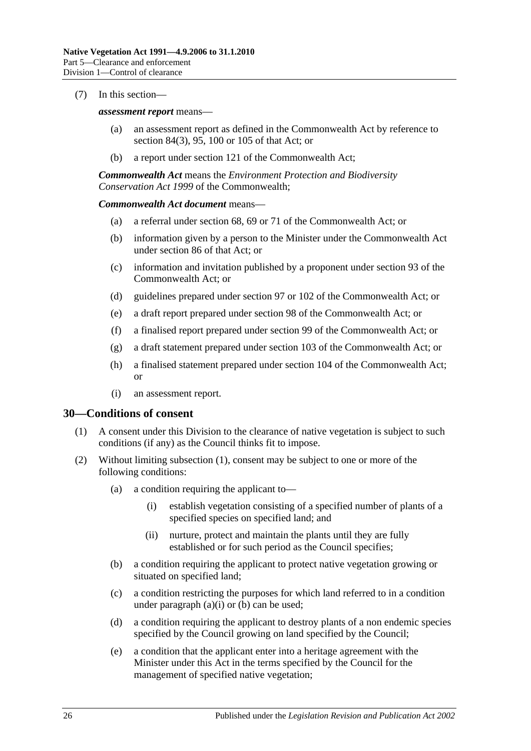#### (7) In this section—

#### *assessment report* means—

- (a) an assessment report as defined in the Commonwealth Act by reference to section 84(3), 95, 100 or 105 of that Act; or
- (b) a report under section 121 of the Commonwealth Act;

*Commonwealth Act* means the *Environment Protection and Biodiversity Conservation Act 1999* of the Commonwealth;

#### *Commonwealth Act document* means—

- (a) a referral under section 68, 69 or 71 of the Commonwealth Act; or
- (b) information given by a person to the Minister under the Commonwealth Act under section 86 of that Act; or
- (c) information and invitation published by a proponent under section 93 of the Commonwealth Act; or
- (d) guidelines prepared under section 97 or 102 of the Commonwealth Act; or
- (e) a draft report prepared under section 98 of the Commonwealth Act; or
- (f) a finalised report prepared under section 99 of the Commonwealth Act; or
- (g) a draft statement prepared under section 103 of the Commonwealth Act; or
- (h) a finalised statement prepared under section 104 of the Commonwealth Act; or
- (i) an assessment report.

#### <span id="page-25-1"></span><span id="page-25-0"></span>**30—Conditions of consent**

- (1) A consent under this Division to the clearance of native vegetation is subject to such conditions (if any) as the Council thinks fit to impose.
- <span id="page-25-5"></span><span id="page-25-4"></span><span id="page-25-3"></span><span id="page-25-2"></span>(2) Without limiting [subsection](#page-25-1) (1), consent may be subject to one or more of the following conditions:
	- (a) a condition requiring the applicant to—
		- (i) establish vegetation consisting of a specified number of plants of a specified species on specified land; and
		- (ii) nurture, protect and maintain the plants until they are fully established or for such period as the Council specifies;
	- (b) a condition requiring the applicant to protect native vegetation growing or situated on specified land;
	- (c) a condition restricting the purposes for which land referred to in a condition under [paragraph](#page-25-2)  $(a)(i)$  or  $(b)$  can be used;
	- (d) a condition requiring the applicant to destroy plants of a non endemic species specified by the Council growing on land specified by the Council;
	- (e) a condition that the applicant enter into a heritage agreement with the Minister under this Act in the terms specified by the Council for the management of specified native vegetation;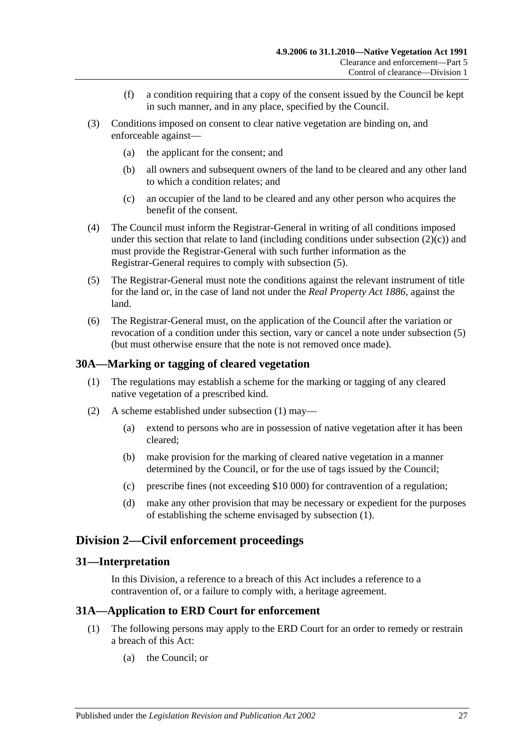- (f) a condition requiring that a copy of the consent issued by the Council be kept in such manner, and in any place, specified by the Council.
- (3) Conditions imposed on consent to clear native vegetation are binding on, and enforceable against—
	- (a) the applicant for the consent; and
	- (b) all owners and subsequent owners of the land to be cleared and any other land to which a condition relates; and
	- (c) an occupier of the land to be cleared and any other person who acquires the benefit of the consent.
- (4) The Council must inform the Registrar-General in writing of all conditions imposed under this section that relate to land (including conditions under [subsection](#page-25-4)  $(2)(c)$ ) and must provide the Registrar-General with such further information as the Registrar-General requires to comply with [subsection](#page-26-4) (5).
- <span id="page-26-4"></span>(5) The Registrar-General must note the conditions against the relevant instrument of title for the land or, in the case of land not under the *[Real Property Act](http://www.legislation.sa.gov.au/index.aspx?action=legref&type=act&legtitle=Real%20Property%20Act%201886) 1886*, against the land.
- (6) The Registrar-General must, on the application of the Council after the variation or revocation of a condition under this section, vary or cancel a note under [subsection](#page-26-4) (5) (but must otherwise ensure that the note is not removed once made).

#### <span id="page-26-5"></span><span id="page-26-0"></span>**30A—Marking or tagging of cleared vegetation**

- (1) The regulations may establish a scheme for the marking or tagging of any cleared native vegetation of a prescribed kind.
- (2) A scheme established under [subsection](#page-26-5) (1) may—
	- (a) extend to persons who are in possession of native vegetation after it has been cleared;
	- (b) make provision for the marking of cleared native vegetation in a manner determined by the Council, or for the use of tags issued by the Council;
	- (c) prescribe fines (not exceeding \$10 000) for contravention of a regulation;
	- (d) make any other provision that may be necessary or expedient for the purposes of establishing the scheme envisaged by [subsection](#page-26-5) (1).

## <span id="page-26-1"></span>**Division 2—Civil enforcement proceedings**

#### <span id="page-26-2"></span>**31—Interpretation**

In this Division, a reference to a breach of this Act includes a reference to a contravention of, or a failure to comply with, a heritage agreement.

#### <span id="page-26-3"></span>**31A—Application to ERD Court for enforcement**

- (1) The following persons may apply to the ERD Court for an order to remedy or restrain a breach of this Act:
	- (a) the Council; or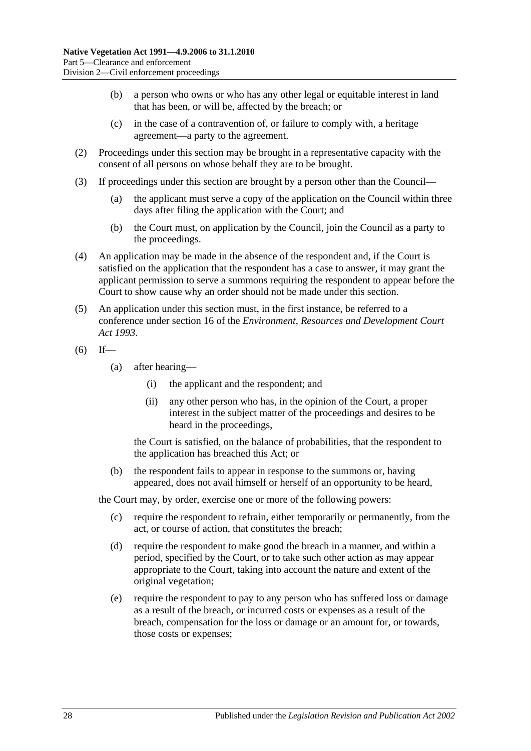- (b) a person who owns or who has any other legal or equitable interest in land that has been, or will be, affected by the breach; or
- (c) in the case of a contravention of, or failure to comply with, a heritage agreement—a party to the agreement.
- (2) Proceedings under this section may be brought in a representative capacity with the consent of all persons on whose behalf they are to be brought.
- (3) If proceedings under this section are brought by a person other than the Council—
	- (a) the applicant must serve a copy of the application on the Council within three days after filing the application with the Court; and
	- (b) the Court must, on application by the Council, join the Council as a party to the proceedings.
- (4) An application may be made in the absence of the respondent and, if the Court is satisfied on the application that the respondent has a case to answer, it may grant the applicant permission to serve a summons requiring the respondent to appear before the Court to show cause why an order should not be made under this section.
- <span id="page-27-1"></span>(5) An application under this section must, in the first instance, be referred to a conference under section 16 of the *[Environment, Resources and Development Court](http://www.legislation.sa.gov.au/index.aspx?action=legref&type=act&legtitle=Environment%20Resources%20and%20Development%20Court%20Act%201993)  Act [1993](http://www.legislation.sa.gov.au/index.aspx?action=legref&type=act&legtitle=Environment%20Resources%20and%20Development%20Court%20Act%201993)*.
- $(6)$  If—
	- (a) after hearing—
		- (i) the applicant and the respondent; and
		- (ii) any other person who has, in the opinion of the Court, a proper interest in the subject matter of the proceedings and desires to be heard in the proceedings,

the Court is satisfied, on the balance of probabilities, that the respondent to the application has breached this Act; or

(b) the respondent fails to appear in response to the summons or, having appeared, does not avail himself or herself of an opportunity to be heard,

the Court may, by order, exercise one or more of the following powers:

- (c) require the respondent to refrain, either temporarily or permanently, from the act, or course of action, that constitutes the breach;
- <span id="page-27-0"></span>(d) require the respondent to make good the breach in a manner, and within a period, specified by the Court, or to take such other action as may appear appropriate to the Court, taking into account the nature and extent of the original vegetation;
- (e) require the respondent to pay to any person who has suffered loss or damage as a result of the breach, or incurred costs or expenses as a result of the breach, compensation for the loss or damage or an amount for, or towards, those costs or expenses;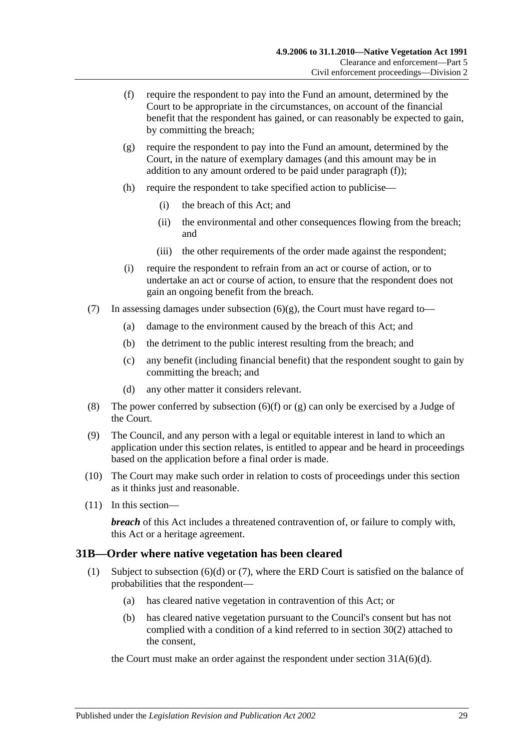- <span id="page-28-1"></span>(f) require the respondent to pay into the Fund an amount, determined by the Court to be appropriate in the circumstances, on account of the financial benefit that the respondent has gained, or can reasonably be expected to gain, by committing the breach;
- <span id="page-28-2"></span>(g) require the respondent to pay into the Fund an amount, determined by the Court, in the nature of exemplary damages (and this amount may be in addition to any amount ordered to be paid under [paragraph](#page-28-1)  $(f)$ ;
- (h) require the respondent to take specified action to publicise—
	- (i) the breach of this Act; and
	- (ii) the environmental and other consequences flowing from the breach; and
	- (iii) the other requirements of the order made against the respondent;
- (i) require the respondent to refrain from an act or course of action, or to undertake an act or course of action, to ensure that the respondent does not gain an ongoing benefit from the breach.
- (7) In assessing damages under [subsection](#page-28-2)  $(6)(g)$ , the Court must have regard to-
	- (a) damage to the environment caused by the breach of this Act; and
	- (b) the detriment to the public interest resulting from the breach; and
	- (c) any benefit (including financial benefit) that the respondent sought to gain by committing the breach; and
	- (d) any other matter it considers relevant.
- <span id="page-28-4"></span>(8) The power conferred by [subsection](#page-28-1)  $(6)(f)$  or  $(g)$  can only be exercised by a Judge of the Court.
- (9) The Council, and any person with a legal or equitable interest in land to which an application under this section relates, is entitled to appear and be heard in proceedings based on the application before a final order is made.
- (10) The Court may make such order in relation to costs of proceedings under this section as it thinks just and reasonable.
- (11) In this section—

*breach* of this Act includes a threatened contravention of, or failure to comply with, this Act or a heritage agreement.

## <span id="page-28-3"></span><span id="page-28-0"></span>**31B—Order where native vegetation has been cleared**

- (1) Subject to [subsection](#page-29-0)  $(6)(d)$  or  $(7)$ , where the ERD Court is satisfied on the balance of probabilities that the respondent—
	- (a) has cleared native vegetation in contravention of this Act; or
	- (b) has cleared native vegetation pursuant to the Council's consent but has not complied with a condition of a kind referred to in [section](#page-25-5) 30(2) attached to the consent,

the Court must make an order against the respondent under section [31A\(6\)\(d\).](#page-27-0)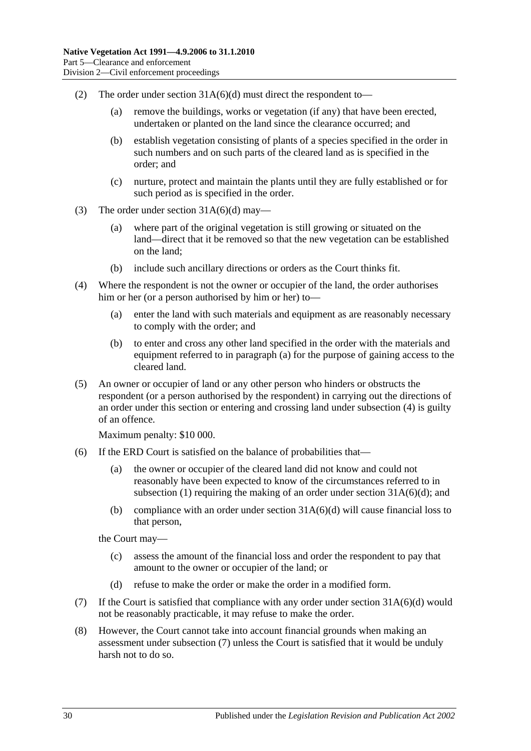- (2) The order under section [31A\(6\)\(d\)](#page-27-0) must direct the respondent to—
	- (a) remove the buildings, works or vegetation (if any) that have been erected, undertaken or planted on the land since the clearance occurred; and
	- (b) establish vegetation consisting of plants of a species specified in the order in such numbers and on such parts of the cleared land as is specified in the order; and
	- (c) nurture, protect and maintain the plants until they are fully established or for such period as is specified in the order.
- (3) The order under section  $31A(6)(d)$  may—
	- (a) where part of the original vegetation is still growing or situated on the land—direct that it be removed so that the new vegetation can be established on the land;
	- (b) include such ancillary directions or orders as the Court thinks fit.
- <span id="page-29-3"></span><span id="page-29-2"></span>(4) Where the respondent is not the owner or occupier of the land, the order authorises him or her (or a person authorised by him or her) to—
	- (a) enter the land with such materials and equipment as are reasonably necessary to comply with the order; and
	- (b) to enter and cross any other land specified in the order with the materials and equipment referred to in [paragraph](#page-29-2) (a) for the purpose of gaining access to the cleared land.
- <span id="page-29-4"></span>(5) An owner or occupier of land or any other person who hinders or obstructs the respondent (or a person authorised by the respondent) in carrying out the directions of an order under this section or entering and crossing land under [subsection](#page-29-3) (4) is guilty of an offence.

Maximum penalty: \$10 000.

- (6) If the ERD Court is satisfied on the balance of probabilities that—
	- (a) the owner or occupier of the cleared land did not know and could not reasonably have been expected to know of the circumstances referred to in [subsection](#page-28-3) (1) requiring the making of an order under section  $31A(6)(d)$ ; and
	- (b) compliance with an order under section  $31A(6)(d)$  will cause financial loss to that person,

the Court may—

- (c) assess the amount of the financial loss and order the respondent to pay that amount to the owner or occupier of the land; or
- (d) refuse to make the order or make the order in a modified form.
- <span id="page-29-1"></span><span id="page-29-0"></span>(7) If the Court is satisfied that compliance with any order under section [31A\(6\)\(d\)](#page-27-0) would not be reasonably practicable, it may refuse to make the order.
- (8) However, the Court cannot take into account financial grounds when making an assessment under [subsection](#page-29-1) (7) unless the Court is satisfied that it would be unduly harsh not to do so.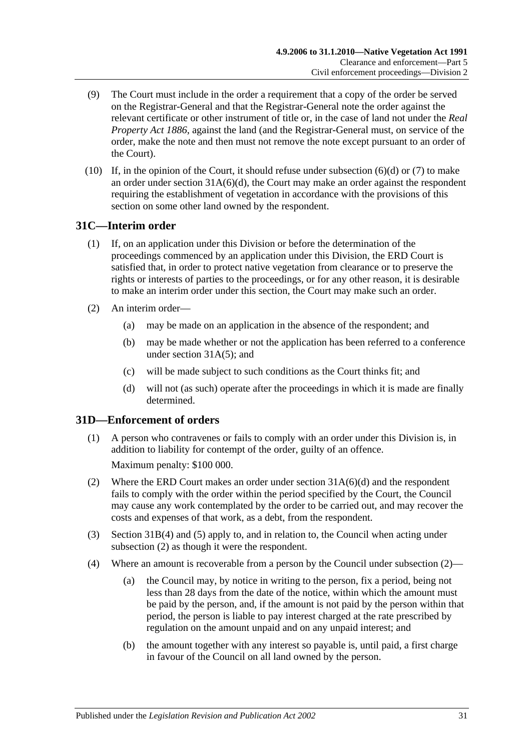- (9) The Court must include in the order a requirement that a copy of the order be served on the Registrar-General and that the Registrar-General note the order against the relevant certificate or other instrument of title or, in the case of land not under the *[Real](http://www.legislation.sa.gov.au/index.aspx?action=legref&type=act&legtitle=Real%20Property%20Act%201886)  [Property Act](http://www.legislation.sa.gov.au/index.aspx?action=legref&type=act&legtitle=Real%20Property%20Act%201886) 1886*, against the land (and the Registrar-General must, on service of the order, make the note and then must not remove the note except pursuant to an order of the Court).
- (10) If, in the opinion of the Court, it should refuse under [subsection](#page-29-0)  $(6)(d)$  or  $(7)$  to make an order under section  $31A(6)(d)$ , the Court may make an order against the respondent requiring the establishment of vegetation in accordance with the provisions of this section on some other land owned by the respondent.

## <span id="page-30-0"></span>**31C—Interim order**

- (1) If, on an application under this Division or before the determination of the proceedings commenced by an application under this Division, the ERD Court is satisfied that, in order to protect native vegetation from clearance or to preserve the rights or interests of parties to the proceedings, or for any other reason, it is desirable to make an interim order under this section, the Court may make such an order.
- (2) An interim order—
	- (a) may be made on an application in the absence of the respondent; and
	- (b) may be made whether or not the application has been referred to a conference under [section](#page-27-1) 31A(5); and
	- (c) will be made subject to such conditions as the Court thinks fit; and
	- (d) will not (as such) operate after the proceedings in which it is made are finally determined.

## <span id="page-30-1"></span>**31D—Enforcement of orders**

- (1) A person who contravenes or fails to comply with an order under this Division is, in addition to liability for contempt of the order, guilty of an offence. Maximum penalty: \$100 000.
- <span id="page-30-2"></span>(2) Where the ERD Court makes an order under section [31A\(6\)\(d\)](#page-27-0) and the respondent fails to comply with the order within the period specified by the Court, the Council may cause any work contemplated by the order to be carried out, and may recover the costs and expenses of that work, as a debt, from the respondent.
- (3) [Section](#page-29-3) 31B(4) and [\(5\)](#page-29-4) apply to, and in relation to, the Council when acting under [subsection](#page-30-2) (2) as though it were the respondent.
- <span id="page-30-3"></span>(4) Where an amount is recoverable from a person by the Council under [subsection](#page-30-2) (2)—
	- (a) the Council may, by notice in writing to the person, fix a period, being not less than 28 days from the date of the notice, within which the amount must be paid by the person, and, if the amount is not paid by the person within that period, the person is liable to pay interest charged at the rate prescribed by regulation on the amount unpaid and on any unpaid interest; and
	- (b) the amount together with any interest so payable is, until paid, a first charge in favour of the Council on all land owned by the person.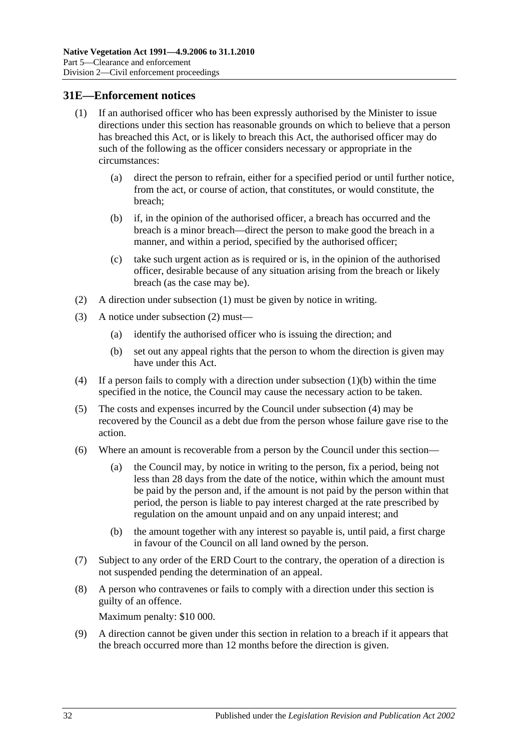#### <span id="page-31-1"></span><span id="page-31-0"></span>**31E—Enforcement notices**

- (1) If an authorised officer who has been expressly authorised by the Minister to issue directions under this section has reasonable grounds on which to believe that a person has breached this Act, or is likely to breach this Act, the authorised officer may do such of the following as the officer considers necessary or appropriate in the circumstances:
	- (a) direct the person to refrain, either for a specified period or until further notice, from the act, or course of action, that constitutes, or would constitute, the breach;
	- (b) if, in the opinion of the authorised officer, a breach has occurred and the breach is a minor breach—direct the person to make good the breach in a manner, and within a period, specified by the authorised officer;
	- (c) take such urgent action as is required or is, in the opinion of the authorised officer, desirable because of any situation arising from the breach or likely breach (as the case may be).
- <span id="page-31-3"></span><span id="page-31-2"></span>(2) A direction under [subsection](#page-31-1) (1) must be given by notice in writing.
- (3) A notice under [subsection](#page-31-2) (2) must—
	- (a) identify the authorised officer who is issuing the direction; and
	- (b) set out any appeal rights that the person to whom the direction is given may have under this Act.
- <span id="page-31-4"></span>(4) If a person fails to comply with a direction under [subsection](#page-31-3)  $(1)(b)$  within the time specified in the notice, the Council may cause the necessary action to be taken.
- (5) The costs and expenses incurred by the Council under [subsection](#page-31-4) (4) may be recovered by the Council as a debt due from the person whose failure gave rise to the action.
- <span id="page-31-5"></span>(6) Where an amount is recoverable from a person by the Council under this section—
	- (a) the Council may, by notice in writing to the person, fix a period, being not less than 28 days from the date of the notice, within which the amount must be paid by the person and, if the amount is not paid by the person within that period, the person is liable to pay interest charged at the rate prescribed by regulation on the amount unpaid and on any unpaid interest; and
	- (b) the amount together with any interest so payable is, until paid, a first charge in favour of the Council on all land owned by the person.
- (7) Subject to any order of the ERD Court to the contrary, the operation of a direction is not suspended pending the determination of an appeal.
- (8) A person who contravenes or fails to comply with a direction under this section is guilty of an offence.

Maximum penalty: \$10 000.

(9) A direction cannot be given under this section in relation to a breach if it appears that the breach occurred more than 12 months before the direction is given.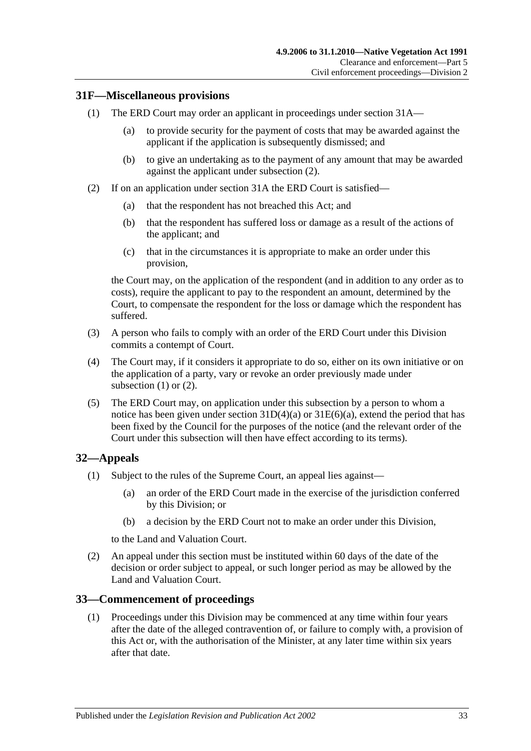## <span id="page-32-4"></span><span id="page-32-0"></span>**31F—Miscellaneous provisions**

- (1) The ERD Court may order an applicant in proceedings under [section](#page-26-3) 31A—
	- (a) to provide security for the payment of costs that may be awarded against the applicant if the application is subsequently dismissed; and
	- (b) to give an undertaking as to the payment of any amount that may be awarded against the applicant under [subsection](#page-32-3) (2).
- <span id="page-32-3"></span>(2) If on an application under [section](#page-26-3) 31A the ERD Court is satisfied—
	- (a) that the respondent has not breached this Act; and
	- (b) that the respondent has suffered loss or damage as a result of the actions of the applicant; and
	- (c) that in the circumstances it is appropriate to make an order under this provision,

the Court may, on the application of the respondent (and in addition to any order as to costs), require the applicant to pay to the respondent an amount, determined by the Court, to compensate the respondent for the loss or damage which the respondent has suffered.

- (3) A person who fails to comply with an order of the ERD Court under this Division commits a contempt of Court.
- (4) The Court may, if it considers it appropriate to do so, either on its own initiative or on the application of a party, vary or revoke an order previously made under [subsection](#page-32-4)  $(1)$  or  $(2)$ .
- (5) The ERD Court may, on application under this subsection by a person to whom a notice has been given under section  $31D(4)(a)$  or  $31E(6)(a)$ , extend the period that has been fixed by the Council for the purposes of the notice (and the relevant order of the Court under this subsection will then have effect according to its terms).

## <span id="page-32-1"></span>**32—Appeals**

- (1) Subject to the rules of the Supreme Court, an appeal lies against—
	- (a) an order of the ERD Court made in the exercise of the jurisdiction conferred by this Division; or
	- (b) a decision by the ERD Court not to make an order under this Division,

to the Land and Valuation Court.

(2) An appeal under this section must be instituted within 60 days of the date of the decision or order subject to appeal, or such longer period as may be allowed by the Land and Valuation Court.

## <span id="page-32-2"></span>**33—Commencement of proceedings**

(1) Proceedings under this Division may be commenced at any time within four years after the date of the alleged contravention of, or failure to comply with, a provision of this Act or, with the authorisation of the Minister, at any later time within six years after that date.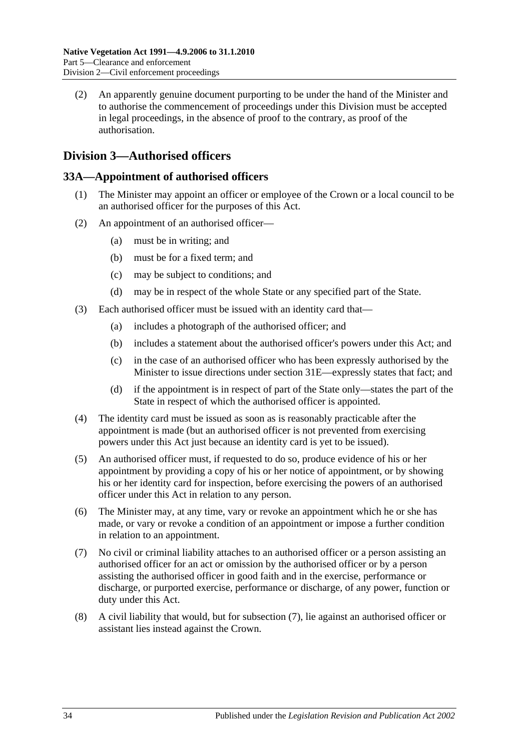(2) An apparently genuine document purporting to be under the hand of the Minister and to authorise the commencement of proceedings under this Division must be accepted in legal proceedings, in the absence of proof to the contrary, as proof of the authorisation.

## <span id="page-33-0"></span>**Division 3—Authorised officers**

## <span id="page-33-1"></span>**33A—Appointment of authorised officers**

- (1) The Minister may appoint an officer or employee of the Crown or a local council to be an authorised officer for the purposes of this Act.
- (2) An appointment of an authorised officer—
	- (a) must be in writing; and
	- (b) must be for a fixed term; and
	- (c) may be subject to conditions; and
	- (d) may be in respect of the whole State or any specified part of the State.
- (3) Each authorised officer must be issued with an identity card that—
	- (a) includes a photograph of the authorised officer; and
	- (b) includes a statement about the authorised officer's powers under this Act; and
	- (c) in the case of an authorised officer who has been expressly authorised by the Minister to issue directions under [section](#page-31-0) 31E—expressly states that fact; and
	- (d) if the appointment is in respect of part of the State only—states the part of the State in respect of which the authorised officer is appointed.
- (4) The identity card must be issued as soon as is reasonably practicable after the appointment is made (but an authorised officer is not prevented from exercising powers under this Act just because an identity card is yet to be issued).
- (5) An authorised officer must, if requested to do so, produce evidence of his or her appointment by providing a copy of his or her notice of appointment, or by showing his or her identity card for inspection, before exercising the powers of an authorised officer under this Act in relation to any person.
- (6) The Minister may, at any time, vary or revoke an appointment which he or she has made, or vary or revoke a condition of an appointment or impose a further condition in relation to an appointment.
- <span id="page-33-2"></span>(7) No civil or criminal liability attaches to an authorised officer or a person assisting an authorised officer for an act or omission by the authorised officer or by a person assisting the authorised officer in good faith and in the exercise, performance or discharge, or purported exercise, performance or discharge, of any power, function or duty under this Act.
- (8) A civil liability that would, but for [subsection](#page-33-2) (7), lie against an authorised officer or assistant lies instead against the Crown.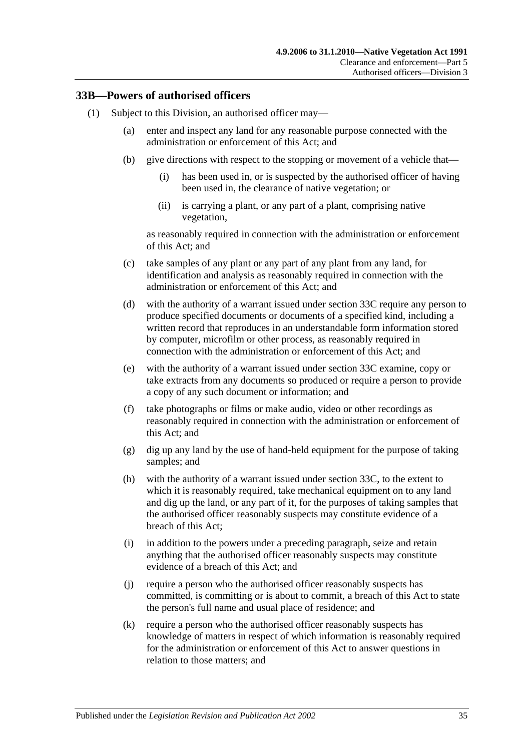#### <span id="page-34-2"></span><span id="page-34-0"></span>**33B—Powers of authorised officers**

- <span id="page-34-1"></span>(1) Subject to this Division, an authorised officer may—
	- (a) enter and inspect any land for any reasonable purpose connected with the administration or enforcement of this Act; and
	- (b) give directions with respect to the stopping or movement of a vehicle that—
		- (i) has been used in, or is suspected by the authorised officer of having been used in, the clearance of native vegetation; or
		- (ii) is carrying a plant, or any part of a plant, comprising native vegetation,

as reasonably required in connection with the administration or enforcement of this Act; and

- (c) take samples of any plant or any part of any plant from any land, for identification and analysis as reasonably required in connection with the administration or enforcement of this Act; and
- <span id="page-34-4"></span>(d) with the authority of a warrant issued under [section](#page-36-0) 33C require any person to produce specified documents or documents of a specified kind, including a written record that reproduces in an understandable form information stored by computer, microfilm or other process, as reasonably required in connection with the administration or enforcement of this Act; and
- <span id="page-34-5"></span>(e) with the authority of a warrant issued under [section](#page-36-0) 33C examine, copy or take extracts from any documents so produced or require a person to provide a copy of any such document or information; and
- (f) take photographs or films or make audio, video or other recordings as reasonably required in connection with the administration or enforcement of this Act; and
- (g) dig up any land by the use of hand-held equipment for the purpose of taking samples; and
- <span id="page-34-6"></span>(h) with the authority of a warrant issued under [section](#page-36-0) 33C, to the extent to which it is reasonably required, take mechanical equipment on to any land and dig up the land, or any part of it, for the purposes of taking samples that the authorised officer reasonably suspects may constitute evidence of a breach of this Act;
- (i) in addition to the powers under a preceding paragraph, seize and retain anything that the authorised officer reasonably suspects may constitute evidence of a breach of this Act; and
- (j) require a person who the authorised officer reasonably suspects has committed, is committing or is about to commit, a breach of this Act to state the person's full name and usual place of residence; and
- <span id="page-34-3"></span>(k) require a person who the authorised officer reasonably suspects has knowledge of matters in respect of which information is reasonably required for the administration or enforcement of this Act to answer questions in relation to those matters; and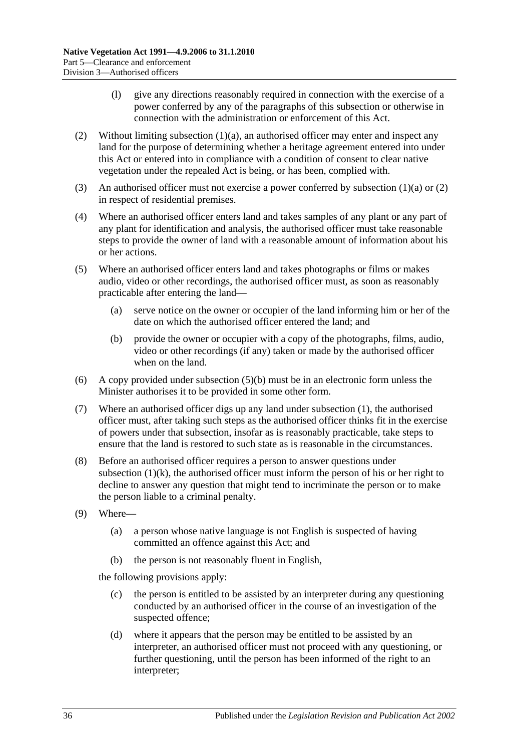- (l) give any directions reasonably required in connection with the exercise of a power conferred by any of the paragraphs of this subsection or otherwise in connection with the administration or enforcement of this Act.
- <span id="page-35-0"></span>(2) Without limiting [subsection](#page-34-1)  $(1)(a)$ , an authorised officer may enter and inspect any land for the purpose of determining whether a heritage agreement entered into under this Act or entered into in compliance with a condition of consent to clear native vegetation under the repealed Act is being, or has been, complied with.
- (3) An authorised officer must not exercise a power conferred by [subsection](#page-34-1) (1)(a) or [\(2\)](#page-35-0) in respect of residential premises.
- (4) Where an authorised officer enters land and takes samples of any plant or any part of any plant for identification and analysis, the authorised officer must take reasonable steps to provide the owner of land with a reasonable amount of information about his or her actions.
- (5) Where an authorised officer enters land and takes photographs or films or makes audio, video or other recordings, the authorised officer must, as soon as reasonably practicable after entering the land—
	- (a) serve notice on the owner or occupier of the land informing him or her of the date on which the authorised officer entered the land; and
	- (b) provide the owner or occupier with a copy of the photographs, films, audio, video or other recordings (if any) taken or made by the authorised officer when on the land.
- <span id="page-35-1"></span>(6) A copy provided under [subsection](#page-35-1) (5)(b) must be in an electronic form unless the Minister authorises it to be provided in some other form.
- (7) Where an authorised officer digs up any land under [subsection](#page-34-2) (1), the authorised officer must, after taking such steps as the authorised officer thinks fit in the exercise of powers under that subsection, insofar as is reasonably practicable, take steps to ensure that the land is restored to such state as is reasonable in the circumstances.
- (8) Before an authorised officer requires a person to answer questions under [subsection](#page-34-3)  $(1)(k)$ , the authorised officer must inform the person of his or her right to decline to answer any question that might tend to incriminate the person or to make the person liable to a criminal penalty.
- (9) Where—
	- (a) a person whose native language is not English is suspected of having committed an offence against this Act; and
	- (b) the person is not reasonably fluent in English,

the following provisions apply:

- (c) the person is entitled to be assisted by an interpreter during any questioning conducted by an authorised officer in the course of an investigation of the suspected offence;
- (d) where it appears that the person may be entitled to be assisted by an interpreter, an authorised officer must not proceed with any questioning, or further questioning, until the person has been informed of the right to an interpreter;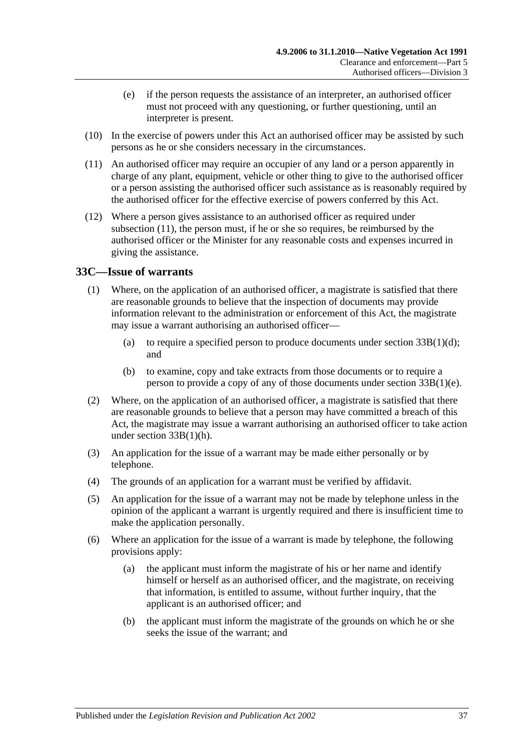- (e) if the person requests the assistance of an interpreter, an authorised officer must not proceed with any questioning, or further questioning, until an interpreter is present.
- (10) In the exercise of powers under this Act an authorised officer may be assisted by such persons as he or she considers necessary in the circumstances.
- <span id="page-36-1"></span>(11) An authorised officer may require an occupier of any land or a person apparently in charge of any plant, equipment, vehicle or other thing to give to the authorised officer or a person assisting the authorised officer such assistance as is reasonably required by the authorised officer for the effective exercise of powers conferred by this Act.
- (12) Where a person gives assistance to an authorised officer as required under [subsection](#page-36-1) (11), the person must, if he or she so requires, be reimbursed by the authorised officer or the Minister for any reasonable costs and expenses incurred in giving the assistance.

## <span id="page-36-0"></span>**33C—Issue of warrants**

- (1) Where, on the application of an authorised officer, a magistrate is satisfied that there are reasonable grounds to believe that the inspection of documents may provide information relevant to the administration or enforcement of this Act, the magistrate may issue a warrant authorising an authorised officer—
	- (a) to require a specified person to produce documents under section  $33B(1)(d)$ ; and
	- (b) to examine, copy and take extracts from those documents or to require a person to provide a copy of any of those documents under section [33B\(1\)\(e\).](#page-34-5)
- (2) Where, on the application of an authorised officer, a magistrate is satisfied that there are reasonable grounds to believe that a person may have committed a breach of this Act, the magistrate may issue a warrant authorising an authorised officer to take action under section [33B\(1\)\(h\).](#page-34-6)
- (3) An application for the issue of a warrant may be made either personally or by telephone.
- (4) The grounds of an application for a warrant must be verified by affidavit.
- (5) An application for the issue of a warrant may not be made by telephone unless in the opinion of the applicant a warrant is urgently required and there is insufficient time to make the application personally.
- (6) Where an application for the issue of a warrant is made by telephone, the following provisions apply:
	- (a) the applicant must inform the magistrate of his or her name and identify himself or herself as an authorised officer, and the magistrate, on receiving that information, is entitled to assume, without further inquiry, that the applicant is an authorised officer; and
	- (b) the applicant must inform the magistrate of the grounds on which he or she seeks the issue of the warrant; and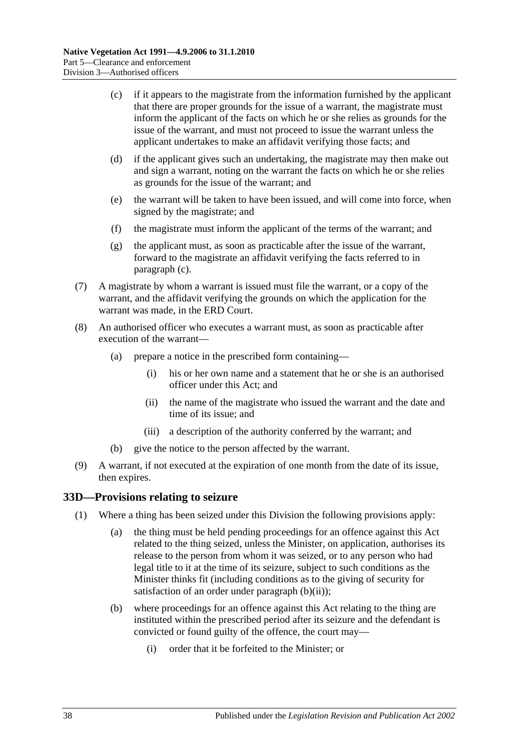- <span id="page-37-1"></span>(c) if it appears to the magistrate from the information furnished by the applicant that there are proper grounds for the issue of a warrant, the magistrate must inform the applicant of the facts on which he or she relies as grounds for the issue of the warrant, and must not proceed to issue the warrant unless the applicant undertakes to make an affidavit verifying those facts; and
- (d) if the applicant gives such an undertaking, the magistrate may then make out and sign a warrant, noting on the warrant the facts on which he or she relies as grounds for the issue of the warrant; and
- (e) the warrant will be taken to have been issued, and will come into force, when signed by the magistrate; and
- (f) the magistrate must inform the applicant of the terms of the warrant; and
- (g) the applicant must, as soon as practicable after the issue of the warrant, forward to the magistrate an affidavit verifying the facts referred to in [paragraph](#page-37-1) (c).
- (7) A magistrate by whom a warrant is issued must file the warrant, or a copy of the warrant, and the affidavit verifying the grounds on which the application for the warrant was made, in the ERD Court.
- (8) An authorised officer who executes a warrant must, as soon as practicable after execution of the warrant—
	- (a) prepare a notice in the prescribed form containing—
		- (i) his or her own name and a statement that he or she is an authorised officer under this Act; and
		- (ii) the name of the magistrate who issued the warrant and the date and time of its issue; and
		- (iii) a description of the authority conferred by the warrant; and
	- (b) give the notice to the person affected by the warrant.
- (9) A warrant, if not executed at the expiration of one month from the date of its issue, then expires.

#### <span id="page-37-4"></span><span id="page-37-0"></span>**33D—Provisions relating to seizure**

- <span id="page-37-3"></span><span id="page-37-2"></span>(1) Where a thing has been seized under this Division the following provisions apply:
	- (a) the thing must be held pending proceedings for an offence against this Act related to the thing seized, unless the Minister, on application, authorises its release to the person from whom it was seized, or to any person who had legal title to it at the time of its seizure, subject to such conditions as the Minister thinks fit (including conditions as to the giving of security for satisfaction of an order under [paragraph](#page-38-1) (b)(ii));
	- (b) where proceedings for an offence against this Act relating to the thing are instituted within the prescribed period after its seizure and the defendant is convicted or found guilty of the offence, the court may—
		- (i) order that it be forfeited to the Minister; or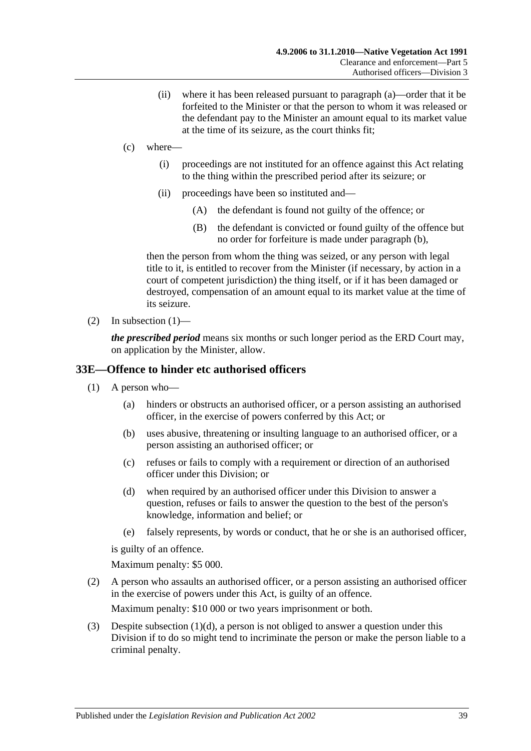- (ii) where it has been released pursuant to [paragraph](#page-37-2) (a)—order that it be forfeited to the Minister or that the person to whom it was released or the defendant pay to the Minister an amount equal to its market value at the time of its seizure, as the court thinks fit;
- <span id="page-38-1"></span>(c) where—
	- (i) proceedings are not instituted for an offence against this Act relating to the thing within the prescribed period after its seizure; or
	- (ii) proceedings have been so instituted and—
		- (A) the defendant is found not guilty of the offence; or
		- (B) the defendant is convicted or found guilty of the offence but no order for forfeiture is made under [paragraph](#page-37-3) (b),

then the person from whom the thing was seized, or any person with legal title to it, is entitled to recover from the Minister (if necessary, by action in a court of competent jurisdiction) the thing itself, or if it has been damaged or destroyed, compensation of an amount equal to its market value at the time of its seizure.

(2) In [subsection](#page-37-4)  $(1)$ —

*the prescribed period* means six months or such longer period as the ERD Court may, on application by the Minister, allow.

#### <span id="page-38-0"></span>**33E—Offence to hinder etc authorised officers**

- (1) A person who—
	- (a) hinders or obstructs an authorised officer, or a person assisting an authorised officer, in the exercise of powers conferred by this Act; or
	- (b) uses abusive, threatening or insulting language to an authorised officer, or a person assisting an authorised officer; or
	- (c) refuses or fails to comply with a requirement or direction of an authorised officer under this Division; or
	- (d) when required by an authorised officer under this Division to answer a question, refuses or fails to answer the question to the best of the person's knowledge, information and belief; or
	- (e) falsely represents, by words or conduct, that he or she is an authorised officer,

<span id="page-38-2"></span>is guilty of an offence.

Maximum penalty: \$5 000.

(2) A person who assaults an authorised officer, or a person assisting an authorised officer in the exercise of powers under this Act, is guilty of an offence.

Maximum penalty: \$10 000 or two years imprisonment or both.

(3) Despite [subsection](#page-38-2) (1)(d), a person is not obliged to answer a question under this Division if to do so might tend to incriminate the person or make the person liable to a criminal penalty.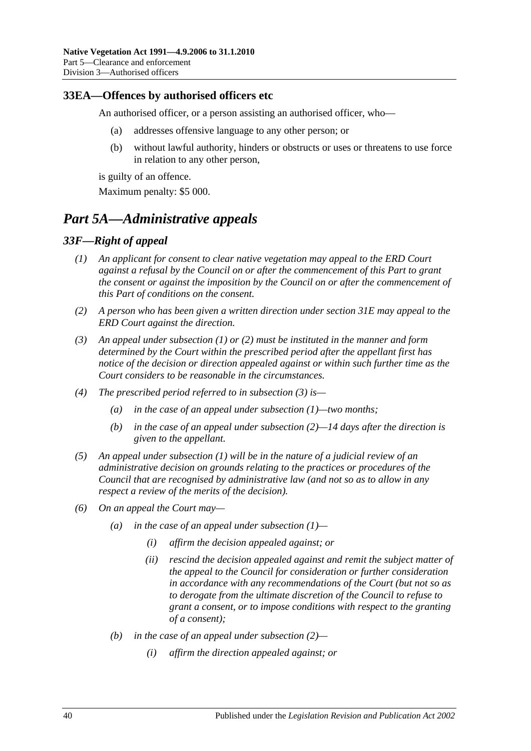#### <span id="page-39-0"></span>**33EA—Offences by authorised officers etc**

An authorised officer, or a person assisting an authorised officer, who—

- (a) addresses offensive language to any other person; or
- (b) without lawful authority, hinders or obstructs or uses or threatens to use force in relation to any other person,

is guilty of an offence.

Maximum penalty: \$5 000.

## <span id="page-39-1"></span>*Part 5A—Administrative appeals*

## <span id="page-39-3"></span><span id="page-39-2"></span>*33F—Right of appeal*

- *(1) An applicant for consent to clear native vegetation may appeal to the ERD Court against a refusal by the Council on or after the commencement of this Part to grant the consent or against the imposition by the Council on or after the commencement of this Part of conditions on the consent.*
- <span id="page-39-4"></span>*(2) A person who has been given a written direction under [section](#page-31-0) 31E may appeal to the ERD Court against the direction.*
- <span id="page-39-5"></span>*(3) An appeal under [subsection](#page-39-3) (1) or [\(2\)](#page-39-4) must be instituted in the manner and form determined by the Court within the prescribed period after the appellant first has notice of the decision or direction appealed against or within such further time as the Court considers to be reasonable in the circumstances.*
- *(4) The prescribed period referred to in [subsection](#page-39-5) (3) is—*
	- *(a) in the case of an appeal under [subsection](#page-39-3) (1)—two months;*
	- *(b) in the case of an appeal under [subsection](#page-39-4) (2)—14 days after the direction is given to the appellant.*
- *(5) An appeal under [subsection](#page-39-3) (1) will be in the nature of a judicial review of an administrative decision on grounds relating to the practices or procedures of the Council that are recognised by administrative law (and not so as to allow in any respect a review of the merits of the decision).*
- *(6) On an appeal the Court may—*
	- *(a) in the case of an appeal under [subsection](#page-39-3) (1)—*
		- *(i) affirm the decision appealed against; or*
		- *(ii) rescind the decision appealed against and remit the subject matter of the appeal to the Council for consideration or further consideration in accordance with any recommendations of the Court (but not so as to derogate from the ultimate discretion of the Council to refuse to grant a consent, or to impose conditions with respect to the granting of a consent);*
	- *(b) in the case of an appeal under [subsection](#page-39-4) (2)—*
		- *(i) affirm the direction appealed against; or*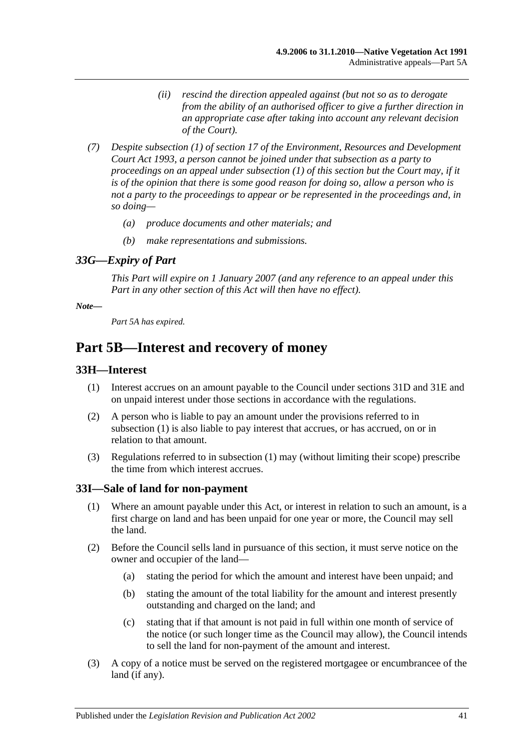- *(ii) rescind the direction appealed against (but not so as to derogate from the ability of an authorised officer to give a further direction in an appropriate case after taking into account any relevant decision of the Court).*
- *(7) Despite subsection (1) of section 17 of the [Environment, Resources and Development](http://www.legislation.sa.gov.au/index.aspx?action=legref&type=act&legtitle=Environment%20Resources%20and%20Development%20Court%20Act%201993)  [Court Act](http://www.legislation.sa.gov.au/index.aspx?action=legref&type=act&legtitle=Environment%20Resources%20and%20Development%20Court%20Act%201993) 1993, a person cannot be joined under that subsection as a party to proceedings on an appeal under [subsection](#page-39-3) (1) of this section but the Court may, if it is of the opinion that there is some good reason for doing so, allow a person who is not a party to the proceedings to appear or be represented in the proceedings and, in so doing—*
	- *(a) produce documents and other materials; and*
	- *(b) make representations and submissions.*

## <span id="page-40-0"></span>*33G—Expiry of Part*

*This Part will expire on 1 January 2007 (and any reference to an appeal under this Part in any other section of this Act will then have no effect).*

#### *Note—*

*Part 5A has expired.*

## <span id="page-40-1"></span>**Part 5B—Interest and recovery of money**

#### <span id="page-40-4"></span><span id="page-40-2"></span>**33H—Interest**

- (1) Interest accrues on an amount payable to the Council under [sections](#page-30-1) 31D and [31E](#page-31-0) and on unpaid interest under those sections in accordance with the regulations.
- (2) A person who is liable to pay an amount under the provisions referred to in [subsection](#page-40-4) (1) is also liable to pay interest that accrues, or has accrued, on or in relation to that amount.
- (3) Regulations referred to in [subsection](#page-40-4) (1) may (without limiting their scope) prescribe the time from which interest accrues.

#### <span id="page-40-3"></span>**33I—Sale of land for non-payment**

- (1) Where an amount payable under this Act, or interest in relation to such an amount, is a first charge on land and has been unpaid for one year or more, the Council may sell the land.
- <span id="page-40-5"></span>(2) Before the Council sells land in pursuance of this section, it must serve notice on the owner and occupier of the land—
	- (a) stating the period for which the amount and interest have been unpaid; and
	- (b) stating the amount of the total liability for the amount and interest presently outstanding and charged on the land; and
	- (c) stating that if that amount is not paid in full within one month of service of the notice (or such longer time as the Council may allow), the Council intends to sell the land for non-payment of the amount and interest.
- (3) A copy of a notice must be served on the registered mortgagee or encumbrancee of the land (if any).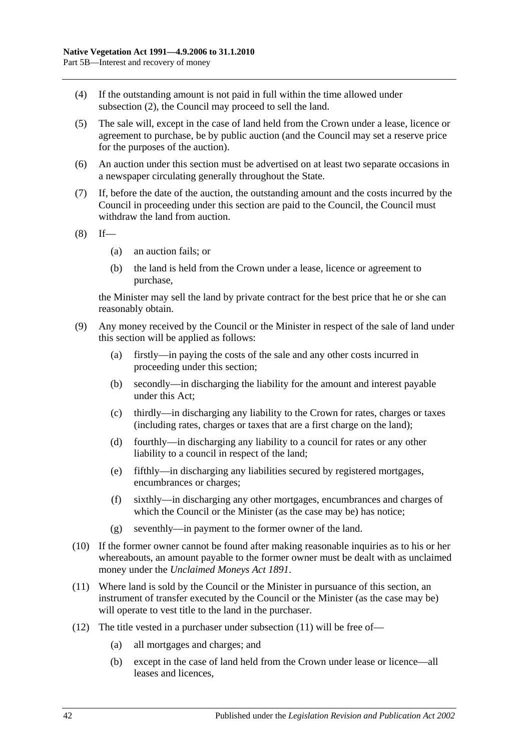- (4) If the outstanding amount is not paid in full within the time allowed under [subsection](#page-40-5) (2), the Council may proceed to sell the land.
- (5) The sale will, except in the case of land held from the Crown under a lease, licence or agreement to purchase, be by public auction (and the Council may set a reserve price for the purposes of the auction).
- (6) An auction under this section must be advertised on at least two separate occasions in a newspaper circulating generally throughout the State.
- (7) If, before the date of the auction, the outstanding amount and the costs incurred by the Council in proceeding under this section are paid to the Council, the Council must withdraw the land from auction.

 $(8)$  If—

- (a) an auction fails; or
- (b) the land is held from the Crown under a lease, licence or agreement to purchase,

the Minister may sell the land by private contract for the best price that he or she can reasonably obtain.

- (9) Any money received by the Council or the Minister in respect of the sale of land under this section will be applied as follows:
	- (a) firstly—in paying the costs of the sale and any other costs incurred in proceeding under this section;
	- (b) secondly—in discharging the liability for the amount and interest payable under this Act;
	- (c) thirdly—in discharging any liability to the Crown for rates, charges or taxes (including rates, charges or taxes that are a first charge on the land);
	- (d) fourthly—in discharging any liability to a council for rates or any other liability to a council in respect of the land;
	- (e) fifthly—in discharging any liabilities secured by registered mortgages, encumbrances or charges;
	- (f) sixthly—in discharging any other mortgages, encumbrances and charges of which the Council or the Minister (as the case may be) has notice;
	- (g) seventhly—in payment to the former owner of the land.
- (10) If the former owner cannot be found after making reasonable inquiries as to his or her whereabouts, an amount payable to the former owner must be dealt with as unclaimed money under the *[Unclaimed Moneys Act](http://www.legislation.sa.gov.au/index.aspx?action=legref&type=act&legtitle=Unclaimed%20Moneys%20Act%201891) 1891*.
- <span id="page-41-0"></span>(11) Where land is sold by the Council or the Minister in pursuance of this section, an instrument of transfer executed by the Council or the Minister (as the case may be) will operate to vest title to the land in the purchaser.
- (12) The title vested in a purchaser under [subsection](#page-41-0) (11) will be free of—
	- (a) all mortgages and charges; and
	- (b) except in the case of land held from the Crown under lease or licence—all leases and licences,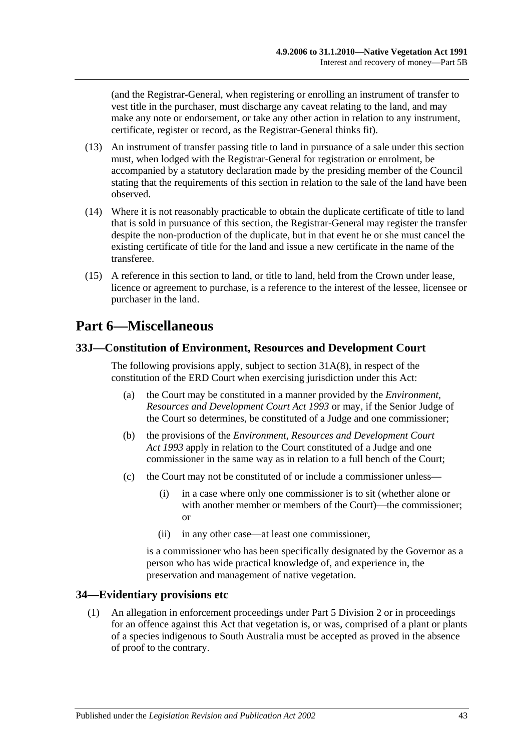(and the Registrar-General, when registering or enrolling an instrument of transfer to vest title in the purchaser, must discharge any caveat relating to the land, and may make any note or endorsement, or take any other action in relation to any instrument, certificate, register or record, as the Registrar-General thinks fit).

- (13) An instrument of transfer passing title to land in pursuance of a sale under this section must, when lodged with the Registrar-General for registration or enrolment, be accompanied by a statutory declaration made by the presiding member of the Council stating that the requirements of this section in relation to the sale of the land have been observed.
- (14) Where it is not reasonably practicable to obtain the duplicate certificate of title to land that is sold in pursuance of this section, the Registrar-General may register the transfer despite the non-production of the duplicate, but in that event he or she must cancel the existing certificate of title for the land and issue a new certificate in the name of the transferee.
- (15) A reference in this section to land, or title to land, held from the Crown under lease, licence or agreement to purchase, is a reference to the interest of the lessee, licensee or purchaser in the land.

# <span id="page-42-0"></span>**Part 6—Miscellaneous**

## <span id="page-42-1"></span>**33J—Constitution of Environment, Resources and Development Court**

The following provisions apply, subject to section [31A\(8\),](#page-28-4) in respect of the constitution of the ERD Court when exercising jurisdiction under this Act:

- (a) the Court may be constituted in a manner provided by the *[Environment,](http://www.legislation.sa.gov.au/index.aspx?action=legref&type=act&legtitle=Environment%20Resources%20and%20Development%20Court%20Act%201993)  [Resources and Development Court Act](http://www.legislation.sa.gov.au/index.aspx?action=legref&type=act&legtitle=Environment%20Resources%20and%20Development%20Court%20Act%201993) 1993* or may, if the Senior Judge of the Court so determines, be constituted of a Judge and one commissioner;
- (b) the provisions of the *[Environment, Resources and Development Court](http://www.legislation.sa.gov.au/index.aspx?action=legref&type=act&legtitle=Environment%20Resources%20and%20Development%20Court%20Act%201993)  Act [1993](http://www.legislation.sa.gov.au/index.aspx?action=legref&type=act&legtitle=Environment%20Resources%20and%20Development%20Court%20Act%201993)* apply in relation to the Court constituted of a Judge and one commissioner in the same way as in relation to a full bench of the Court;
- (c) the Court may not be constituted of or include a commissioner unless—
	- (i) in a case where only one commissioner is to sit (whether alone or with another member or members of the Court)—the commissioner; or
	- (ii) in any other case—at least one commissioner,

is a commissioner who has been specifically designated by the Governor as a person who has wide practical knowledge of, and experience in, the preservation and management of native vegetation.

## <span id="page-42-2"></span>**34—Evidentiary provisions etc**

(1) An allegation in enforcement proceedings under [Part 5 Division 2](#page-26-1) or in proceedings for an offence against this Act that vegetation is, or was, comprised of a plant or plants of a species indigenous to South Australia must be accepted as proved in the absence of proof to the contrary.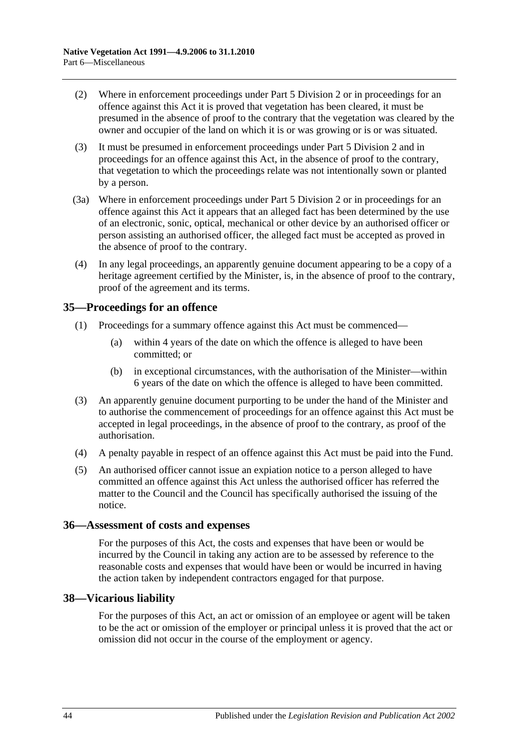- (2) Where in enforcement proceedings under [Part 5 Division 2](#page-26-1) or in proceedings for an offence against this Act it is proved that vegetation has been cleared, it must be presumed in the absence of proof to the contrary that the vegetation was cleared by the owner and occupier of the land on which it is or was growing or is or was situated.
- (3) It must be presumed in enforcement proceedings under [Part 5 Division 2](#page-26-1) and in proceedings for an offence against this Act, in the absence of proof to the contrary, that vegetation to which the proceedings relate was not intentionally sown or planted by a person.
- (3a) Where in enforcement proceedings under [Part 5 Division 2](#page-26-1) or in proceedings for an offence against this Act it appears that an alleged fact has been determined by the use of an electronic, sonic, optical, mechanical or other device by an authorised officer or person assisting an authorised officer, the alleged fact must be accepted as proved in the absence of proof to the contrary.
- (4) In any legal proceedings, an apparently genuine document appearing to be a copy of a heritage agreement certified by the Minister, is, in the absence of proof to the contrary, proof of the agreement and its terms.

## <span id="page-43-0"></span>**35—Proceedings for an offence**

- (1) Proceedings for a summary offence against this Act must be commenced—
	- (a) within 4 years of the date on which the offence is alleged to have been committed; or
	- (b) in exceptional circumstances, with the authorisation of the Minister—within 6 years of the date on which the offence is alleged to have been committed.
- (3) An apparently genuine document purporting to be under the hand of the Minister and to authorise the commencement of proceedings for an offence against this Act must be accepted in legal proceedings, in the absence of proof to the contrary, as proof of the authorisation.
- (4) A penalty payable in respect of an offence against this Act must be paid into the Fund.
- (5) An authorised officer cannot issue an expiation notice to a person alleged to have committed an offence against this Act unless the authorised officer has referred the matter to the Council and the Council has specifically authorised the issuing of the notice.

## <span id="page-43-1"></span>**36—Assessment of costs and expenses**

For the purposes of this Act, the costs and expenses that have been or would be incurred by the Council in taking any action are to be assessed by reference to the reasonable costs and expenses that would have been or would be incurred in having the action taken by independent contractors engaged for that purpose.

## <span id="page-43-2"></span>**38—Vicarious liability**

For the purposes of this Act, an act or omission of an employee or agent will be taken to be the act or omission of the employer or principal unless it is proved that the act or omission did not occur in the course of the employment or agency.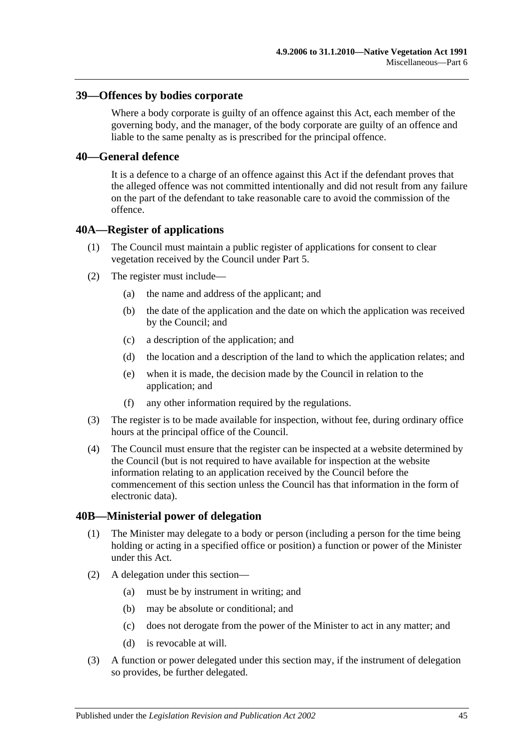#### <span id="page-44-0"></span>**39—Offences by bodies corporate**

Where a body corporate is guilty of an offence against this Act, each member of the governing body, and the manager, of the body corporate are guilty of an offence and liable to the same penalty as is prescribed for the principal offence.

#### <span id="page-44-1"></span>**40—General defence**

It is a defence to a charge of an offence against this Act if the defendant proves that the alleged offence was not committed intentionally and did not result from any failure on the part of the defendant to take reasonable care to avoid the commission of the offence.

#### <span id="page-44-2"></span>**40A—Register of applications**

- (1) The Council must maintain a public register of applications for consent to clear vegetation received by the Council under [Part 5.](#page-18-0)
- (2) The register must include—
	- (a) the name and address of the applicant; and
	- (b) the date of the application and the date on which the application was received by the Council; and
	- (c) a description of the application; and
	- (d) the location and a description of the land to which the application relates; and
	- (e) when it is made, the decision made by the Council in relation to the application; and
	- (f) any other information required by the regulations.
- (3) The register is to be made available for inspection, without fee, during ordinary office hours at the principal office of the Council.
- (4) The Council must ensure that the register can be inspected at a website determined by the Council (but is not required to have available for inspection at the website information relating to an application received by the Council before the commencement of this section unless the Council has that information in the form of electronic data).

#### <span id="page-44-3"></span>**40B—Ministerial power of delegation**

- (1) The Minister may delegate to a body or person (including a person for the time being holding or acting in a specified office or position) a function or power of the Minister under this Act.
- (2) A delegation under this section—
	- (a) must be by instrument in writing; and
	- (b) may be absolute or conditional; and
	- (c) does not derogate from the power of the Minister to act in any matter; and
	- (d) is revocable at will.
- (3) A function or power delegated under this section may, if the instrument of delegation so provides, be further delegated.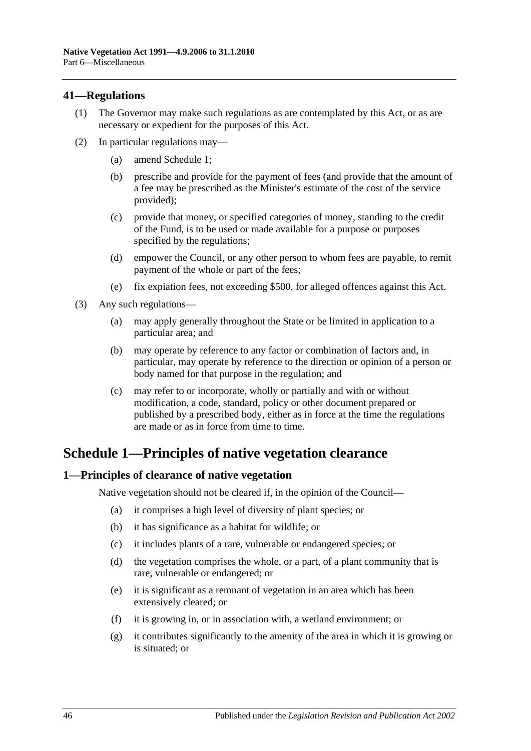## <span id="page-45-0"></span>**41—Regulations**

- (1) The Governor may make such regulations as are contemplated by this Act, or as are necessary or expedient for the purposes of this Act.
- (2) In particular regulations may—
	- (a) amend [Schedule 1;](#page-45-1)
	- (b) prescribe and provide for the payment of fees (and provide that the amount of a fee may be prescribed as the Minister's estimate of the cost of the service provided);
	- (c) provide that money, or specified categories of money, standing to the credit of the Fund, is to be used or made available for a purpose or purposes specified by the regulations;
	- (d) empower the Council, or any other person to whom fees are payable, to remit payment of the whole or part of the fees;
	- (e) fix expiation fees, not exceeding \$500, for alleged offences against this Act.
- (3) Any such regulations—
	- (a) may apply generally throughout the State or be limited in application to a particular area; and
	- (b) may operate by reference to any factor or combination of factors and, in particular, may operate by reference to the direction or opinion of a person or body named for that purpose in the regulation; and
	- (c) may refer to or incorporate, wholly or partially and with or without modification, a code, standard, policy or other document prepared or published by a prescribed body, either as in force at the time the regulations are made or as in force from time to time.

# <span id="page-45-1"></span>**Schedule 1—Principles of native vegetation clearance**

## <span id="page-45-2"></span>**1—Principles of clearance of native vegetation**

Native vegetation should not be cleared if, in the opinion of the Council—

- (a) it comprises a high level of diversity of plant species; or
- (b) it has significance as a habitat for wildlife; or
- (c) it includes plants of a rare, vulnerable or endangered species; or
- (d) the vegetation comprises the whole, or a part, of a plant community that is rare, vulnerable or endangered; or
- (e) it is significant as a remnant of vegetation in an area which has been extensively cleared; or
- (f) it is growing in, or in association with, a wetland environment; or
- (g) it contributes significantly to the amenity of the area in which it is growing or is situated; or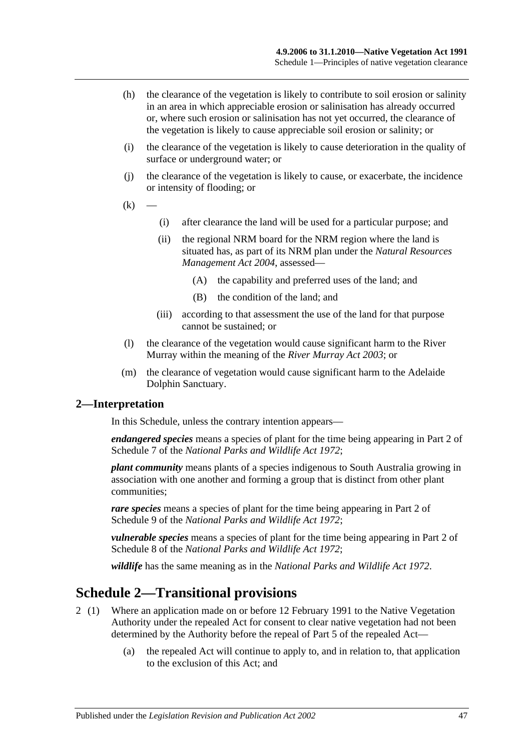- (h) the clearance of the vegetation is likely to contribute to soil erosion or salinity in an area in which appreciable erosion or salinisation has already occurred or, where such erosion or salinisation has not yet occurred, the clearance of the vegetation is likely to cause appreciable soil erosion or salinity; or
- (i) the clearance of the vegetation is likely to cause deterioration in the quality of surface or underground water; or
- (j) the clearance of the vegetation is likely to cause, or exacerbate, the incidence or intensity of flooding; or
- $(k)$
- (i) after clearance the land will be used for a particular purpose; and
- (ii) the regional NRM board for the NRM region where the land is situated has, as part of its NRM plan under the *[Natural Resources](http://www.legislation.sa.gov.au/index.aspx?action=legref&type=act&legtitle=Natural%20Resources%20Management%20Act%202004)  [Management Act](http://www.legislation.sa.gov.au/index.aspx?action=legref&type=act&legtitle=Natural%20Resources%20Management%20Act%202004) 2004*, assessed—
	- (A) the capability and preferred uses of the land; and
	- (B) the condition of the land; and
- (iii) according to that assessment the use of the land for that purpose cannot be sustained; or
- (l) the clearance of the vegetation would cause significant harm to the River Murray within the meaning of the *[River Murray Act](http://www.legislation.sa.gov.au/index.aspx?action=legref&type=act&legtitle=River%20Murray%20Act%202003) 2003*; or
- (m) the clearance of vegetation would cause significant harm to the Adelaide Dolphin Sanctuary.

#### <span id="page-46-0"></span>**2—Interpretation**

In this Schedule, unless the contrary intention appears—

*endangered species* means a species of plant for the time being appearing in Part 2 of Schedule 7 of the *[National Parks and Wildlife Act](http://www.legislation.sa.gov.au/index.aspx?action=legref&type=act&legtitle=National%20Parks%20and%20Wildlife%20Act%201972) 1972*;

*plant community* means plants of a species indigenous to South Australia growing in association with one another and forming a group that is distinct from other plant communities;

*rare species* means a species of plant for the time being appearing in Part 2 of Schedule 9 of the *[National Parks and Wildlife Act](http://www.legislation.sa.gov.au/index.aspx?action=legref&type=act&legtitle=National%20Parks%20and%20Wildlife%20Act%201972) 1972*;

*vulnerable species* means a species of plant for the time being appearing in Part 2 of Schedule 8 of the *[National Parks and Wildlife Act](http://www.legislation.sa.gov.au/index.aspx?action=legref&type=act&legtitle=National%20Parks%20and%20Wildlife%20Act%201972) 1972*;

*wildlife* has the same meaning as in the *[National Parks and Wildlife Act](http://www.legislation.sa.gov.au/index.aspx?action=legref&type=act&legtitle=National%20Parks%20and%20Wildlife%20Act%201972) 1972*.

## <span id="page-46-1"></span>**Schedule 2—Transitional provisions**

- 2 (1) Where an application made on or before 12 February 1991 to the Native Vegetation Authority under the repealed Act for consent to clear native vegetation had not been determined by the Authority before the repeal of Part 5 of the repealed Act—
	- (a) the repealed Act will continue to apply to, and in relation to, that application to the exclusion of this Act; and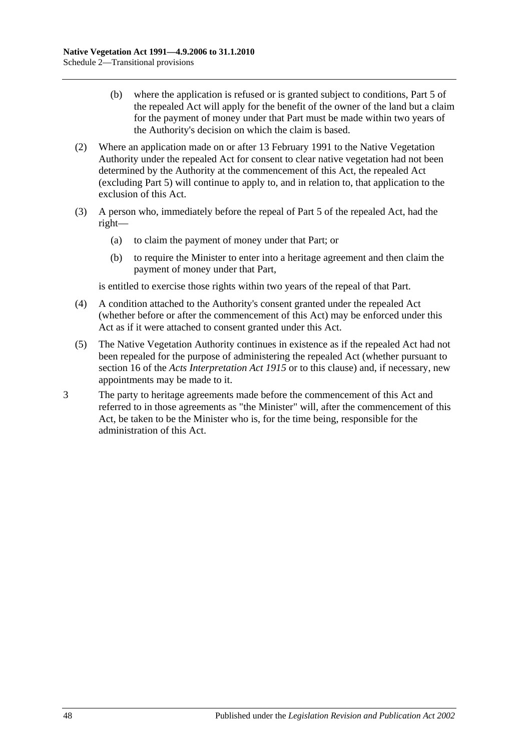- (b) where the application is refused or is granted subject to conditions, Part 5 of the repealed Act will apply for the benefit of the owner of the land but a claim for the payment of money under that Part must be made within two years of the Authority's decision on which the claim is based.
- (2) Where an application made on or after 13 February 1991 to the Native Vegetation Authority under the repealed Act for consent to clear native vegetation had not been determined by the Authority at the commencement of this Act, the repealed Act (excluding Part 5) will continue to apply to, and in relation to, that application to the exclusion of this Act.
- (3) A person who, immediately before the repeal of Part 5 of the repealed Act, had the right—
	- (a) to claim the payment of money under that Part; or
	- (b) to require the Minister to enter into a heritage agreement and then claim the payment of money under that Part,

is entitled to exercise those rights within two years of the repeal of that Part.

- (4) A condition attached to the Authority's consent granted under the repealed Act (whether before or after the commencement of this Act) may be enforced under this Act as if it were attached to consent granted under this Act.
- (5) The Native Vegetation Authority continues in existence as if the repealed Act had not been repealed for the purpose of administering the repealed Act (whether pursuant to section 16 of the *[Acts Interpretation Act](http://www.legislation.sa.gov.au/index.aspx?action=legref&type=act&legtitle=Acts%20Interpretation%20Act%201915) 1915* or to this clause) and, if necessary, new appointments may be made to it.
- 3 The party to heritage agreements made before the commencement of this Act and referred to in those agreements as "the Minister" will, after the commencement of this Act, be taken to be the Minister who is, for the time being, responsible for the administration of this Act.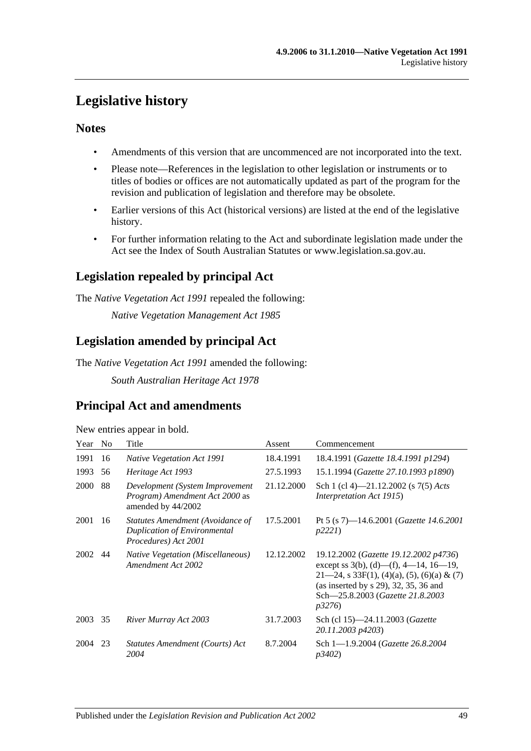# <span id="page-48-0"></span>**Legislative history**

## **Notes**

- Amendments of this version that are uncommenced are not incorporated into the text.
- Please note—References in the legislation to other legislation or instruments or to titles of bodies or offices are not automatically updated as part of the program for the revision and publication of legislation and therefore may be obsolete.
- Earlier versions of this Act (historical versions) are listed at the end of the legislative history.
- For further information relating to the Act and subordinate legislation made under the Act see the Index of South Australian Statutes or www.legislation.sa.gov.au.

## **Legislation repealed by principal Act**

The *Native Vegetation Act 1991* repealed the following:

*Native Vegetation Management Act 1985*

## **Legislation amended by principal Act**

The *Native Vegetation Act 1991* amended the following:

*South Australian Heritage Act 1978*

## **Principal Act and amendments**

New entries appear in bold.

| Year        | N <sub>o</sub> | Title                                                                                           | Assent     | Commencement                                                                                                                                                                                                                   |
|-------------|----------------|-------------------------------------------------------------------------------------------------|------------|--------------------------------------------------------------------------------------------------------------------------------------------------------------------------------------------------------------------------------|
| 1991        | 16             | <b>Native Vegetation Act 1991</b>                                                               | 18.4.1991  | 18.4.1991 (Gazette 18.4.1991 p1294)                                                                                                                                                                                            |
| 1993        | 56             | Heritage Act 1993                                                                               | 27.5.1993  | 15.1.1994 (Gazette 27.10.1993 p1890)                                                                                                                                                                                           |
| <b>2000</b> | 88             | Development (System Improvement<br><i>Program</i> ) Amendment Act 2000 as<br>amended by 44/2002 | 21.12.2000 | Sch 1 (cl 4)—21.12.2002 (s $7(5)$ Acts<br><i>Interpretation Act 1915</i> )                                                                                                                                                     |
| 2001        | 16             | Statutes Amendment (Avoidance of<br>Duplication of Environmental<br>Procedures) Act 2001        | 17.5.2001  | Pt 5 (s 7)—14.6.2001 ( <i>Gazette 14.6.2001</i><br>p2221                                                                                                                                                                       |
| 2002        | 44             | <b>Native Vegetation (Miscellaneous)</b><br>Amendment Act 2002                                  | 12.12.2002 | 19.12.2002 (Gazette 19.12.2002 p4736)<br>except ss 3(b), (d)—(f), 4—14, 16—19,<br>$21-24$ , s 33F(1), (4)(a), (5), (6)(a) & (7)<br>(as inserted by s 29), 32, 35, 36 and<br>Sch-25.8.2003 (Gazette 21.8.2003<br><i>p</i> 3276) |
| 2003        | 35             | River Murray Act 2003                                                                           | 31.7.2003  | Sch (cl 15)-24.11.2003 ( <i>Gazette</i><br>20.11.2003 p4203)                                                                                                                                                                   |
| 2004        | 23             | Statutes Amendment (Courts) Act<br>2004                                                         | 8.7.2004   | Sch 1-1.9.2004 (Gazette 26.8.2004)<br><i>p3402</i> )                                                                                                                                                                           |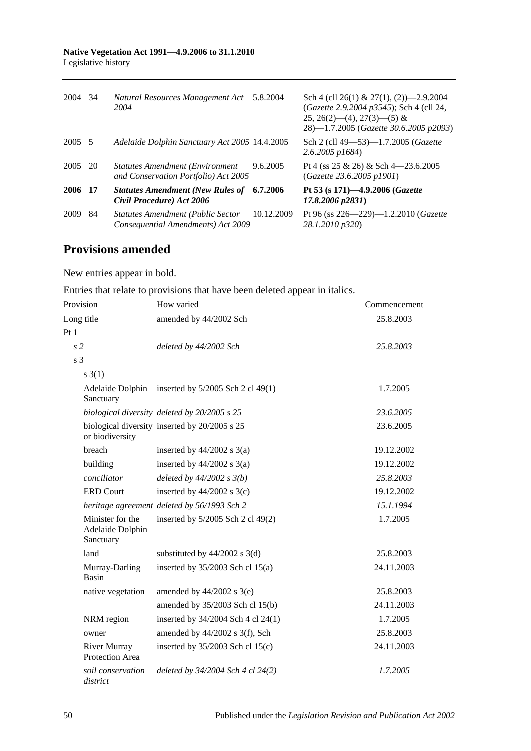| 2004    | -34 | Natural Resources Management Act<br>2004                                        | 5.8.2004   | Sch 4 (cll 26(1) & 27(1), (2) $-2.9.2004$<br>(Gazette 2.9.2004 p3545); Sch 4 (cll 24,<br>$25, 26(2)$ (4), $27(3)$ (5) &<br>28)-1.7.2005 (Gazette 30.6.2005 p2093) |
|---------|-----|---------------------------------------------------------------------------------|------------|-------------------------------------------------------------------------------------------------------------------------------------------------------------------|
| 2005 5  |     | Adelaide Dolphin Sanctuary Act 2005 14.4.2005                                   |            | Sch 2 (cll 49–53)–1.7.2005 (Gazette<br>$2.6.2005$ p1684)                                                                                                          |
| 2005 20 |     | <b>Statutes Amendment (Environment)</b><br>and Conservation Portfolio) Act 2005 | 9.6.2005   | Pt 4 (ss $25 \& 26$ ) & Sch 4-23.6.2005<br>(Gazette 23.6.2005 p1901)                                                                                              |
| 2006 17 |     | <b>Statutes Amendment (New Rules of</b><br>Civil Procedure) Act 2006            | 6.7.2006   | Pt 53 (s 171)-4.9.2006 (Gazette<br>$17.8.2006$ $p2831$ )                                                                                                          |
| 2009    | 84  | <b>Statutes Amendment (Public Sector</b><br>Consequential Amendments) Act 2009  | 10.12.2009 | Pt 96 (ss $226 - 229$ )-1.2.2010 ( <i>Gazette</i><br>28.1.2010 p320)                                                                                              |

## **Provisions amended**

New entries appear in bold.

Entries that relate to provisions that have been deleted appear in italics.

| Provision                                         | How varied                                    | Commencement |  |
|---------------------------------------------------|-----------------------------------------------|--------------|--|
| Long title                                        | amended by 44/2002 Sch                        | 25.8.2003    |  |
| Pt1                                               |                                               |              |  |
| s <sub>2</sub>                                    | deleted by 44/2002 Sch                        | 25.8.2003    |  |
| s <sub>3</sub>                                    |                                               |              |  |
| s(1)                                              |                                               |              |  |
| Adelaide Dolphin<br>Sanctuary                     | inserted by 5/2005 Sch 2 cl 49(1)             | 1.7.2005     |  |
|                                                   | biological diversity deleted by 20/2005 s 25  | 23.6.2005    |  |
| or biodiversity                                   | biological diversity inserted by 20/2005 s 25 | 23.6.2005    |  |
| breach                                            | inserted by $44/2002$ s $3(a)$                | 19.12.2002   |  |
| building                                          | inserted by $44/2002$ s $3(a)$                | 19.12.2002   |  |
| conciliator                                       | deleted by $44/2002 s 3(b)$                   | 25.8.2003    |  |
| <b>ERD Court</b>                                  | inserted by $44/2002$ s 3(c)                  | 19.12.2002   |  |
|                                                   | heritage agreement deleted by 56/1993 Sch 2   | 15.1.1994    |  |
| Minister for the<br>Adelaide Dolphin<br>Sanctuary | inserted by 5/2005 Sch 2 cl 49(2)             | 1.7.2005     |  |
| land                                              | substituted by $44/2002$ s 3(d)               | 25.8.2003    |  |
| Murray-Darling<br>Basin                           | inserted by $35/2003$ Sch cl 15(a)            | 24.11.2003   |  |
| native vegetation                                 | amended by $44/2002$ s $3(e)$                 | 25.8.2003    |  |
|                                                   | amended by 35/2003 Sch cl 15(b)               | 24.11.2003   |  |
| NRM region                                        | inserted by 34/2004 Sch 4 cl 24(1)            | 1.7.2005     |  |
| owner                                             | amended by 44/2002 s 3(f), Sch                | 25.8.2003    |  |
| <b>River Murray</b><br>Protection Area            | inserted by $35/2003$ Sch cl $15(c)$          | 24.11.2003   |  |
| soil conservation<br>district                     | deleted by 34/2004 Sch 4 cl 24(2)             | 1.7.2005     |  |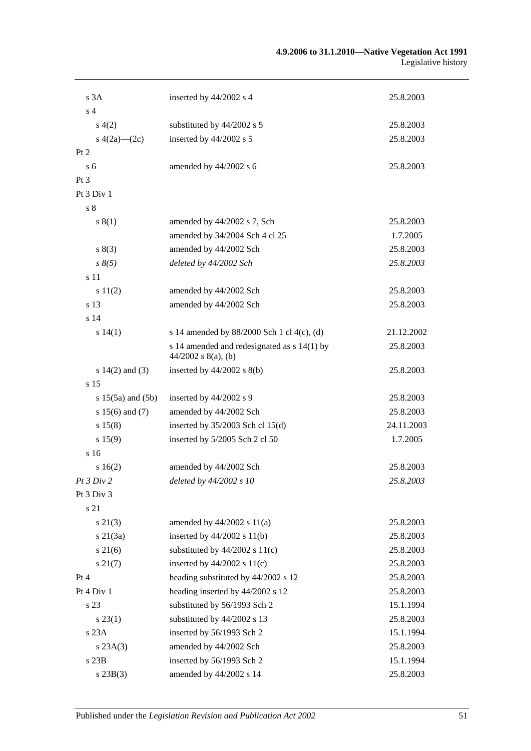#### **4.9.2006 to 31.1.2010—Native Vegetation Act 1991** Legislative history

| s 3A                  | inserted by 44/2002 s 4                                              | 25.8.2003  |
|-----------------------|----------------------------------------------------------------------|------------|
| s <sub>4</sub>        |                                                                      |            |
| s(4(2)                | substituted by 44/2002 s 5                                           | 25.8.2003  |
| s $4(2a)$ — $(2c)$    | inserted by 44/2002 s 5                                              | 25.8.2003  |
| Pt 2                  |                                                                      |            |
| s <sub>6</sub>        | amended by 44/2002 s 6                                               | 25.8.2003  |
| Pt 3                  |                                                                      |            |
| Pt 3 Div 1            |                                                                      |            |
| $\sqrt{s}$ 8          |                                                                      |            |
| s(1)                  | amended by 44/2002 s 7, Sch                                          | 25.8.2003  |
|                       | amended by 34/2004 Sch 4 cl 25                                       | 1.7.2005   |
| s(3)                  | amended by 44/2002 Sch                                               | 25.8.2003  |
| $s \, 8(5)$           | deleted by 44/2002 Sch                                               | 25.8.2003  |
| s 11                  |                                                                      |            |
| s 11(2)               | amended by 44/2002 Sch                                               | 25.8.2003  |
| s 13                  | amended by 44/2002 Sch                                               | 25.8.2003  |
| s <sub>14</sub>       |                                                                      |            |
| s14(1)                | s 14 amended by 88/2000 Sch 1 cl 4(c), (d)                           | 21.12.2002 |
|                       | s 14 amended and redesignated as s 14(1) by<br>$44/2002$ s 8(a), (b) | 25.8.2003  |
| s $14(2)$ and $(3)$   | inserted by $44/2002$ s $8(b)$                                       | 25.8.2003  |
| s <sub>15</sub>       |                                                                      |            |
| $s 15(5a)$ and $(5b)$ | inserted by 44/2002 s 9                                              | 25.8.2003  |
| s $15(6)$ and $(7)$   | amended by 44/2002 Sch                                               | 25.8.2003  |
| s 15(8)               | inserted by $35/2003$ Sch cl 15(d)                                   | 24.11.2003 |
| s 15(9)               | inserted by 5/2005 Sch 2 cl 50                                       | 1.7.2005   |
| s <sub>16</sub>       |                                                                      |            |
| s16(2)                | amended by 44/2002 Sch                                               | 25.8.2003  |
| <i>Pt 3 Div 2</i>     | deleted by 44/2002 s 10                                              | 25.8.2003  |
| Pt 3 Div 3            |                                                                      |            |
| s 21                  |                                                                      |            |
| $s\ 21(3)$            | amended by $44/2002$ s $11(a)$                                       | 25.8.2003  |
| $s \, 21(3a)$         | inserted by $44/2002$ s $11(b)$                                      | 25.8.2003  |
| $s \, 21(6)$          | substituted by $44/2002$ s $11(c)$                                   | 25.8.2003  |
| $s\,21(7)$            | inserted by $44/2002$ s $11(c)$                                      | 25.8.2003  |
| Pt 4                  | heading substituted by 44/2002 s 12                                  | 25.8.2003  |
| Pt 4 Div 1            | heading inserted by 44/2002 s 12                                     | 25.8.2003  |
| s 23                  | substituted by 56/1993 Sch 2                                         | 15.1.1994  |
| $s\,23(1)$            | substituted by 44/2002 s 13                                          | 25.8.2003  |
| s 23A                 | inserted by 56/1993 Sch 2                                            | 15.1.1994  |
| s 23A(3)              | amended by 44/2002 Sch                                               | 25.8.2003  |
| s23B                  | inserted by 56/1993 Sch 2                                            | 15.1.1994  |
| s 23B(3)              | amended by 44/2002 s 14                                              | 25.8.2003  |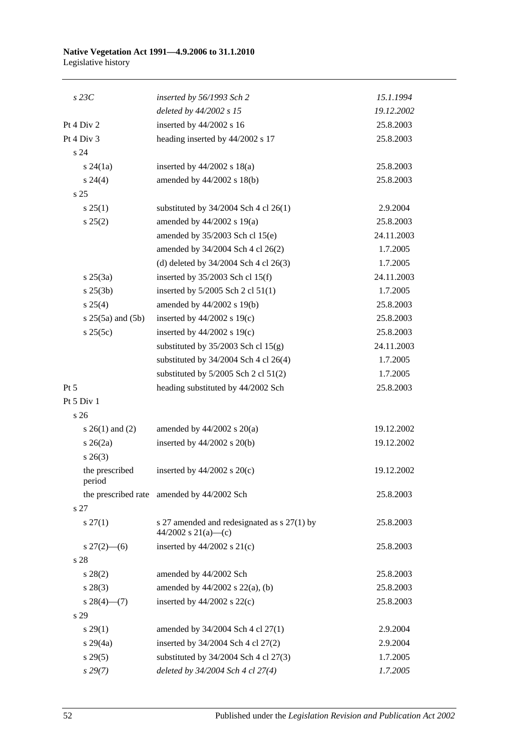#### **Native Vegetation Act 1991—4.9.2006 to 31.1.2010** Legislative history

| $s$ 23 $C$                | inserted by 56/1993 Sch 2                                          | 15.1.1994  |
|---------------------------|--------------------------------------------------------------------|------------|
|                           | deleted by 44/2002 s 15                                            | 19.12.2002 |
| Pt 4 Div 2                | inserted by 44/2002 s 16                                           | 25.8.2003  |
| Pt 4 Div 3                | heading inserted by 44/2002 s 17                                   | 25.8.2003  |
| s 24                      |                                                                    |            |
| $s\,24(1a)$               | inserted by $44/2002$ s $18(a)$                                    | 25.8.2003  |
| $s\,24(4)$                | amended by 44/2002 s 18(b)                                         | 25.8.2003  |
| s <sub>25</sub>           |                                                                    |            |
| s 25(1)                   | substituted by $34/2004$ Sch 4 cl 26(1)                            | 2.9.2004   |
| s 25(2)                   | amended by 44/2002 s 19(a)                                         | 25.8.2003  |
|                           | amended by 35/2003 Sch cl 15(e)                                    | 24.11.2003 |
|                           | amended by 34/2004 Sch 4 cl 26(2)                                  | 1.7.2005   |
|                           | (d) deleted by $34/2004$ Sch 4 cl $26(3)$                          | 1.7.2005   |
| $s \; 25(3a)$             | inserted by $35/2003$ Sch cl 15(f)                                 | 24.11.2003 |
| $s \; 25(3b)$             | inserted by 5/2005 Sch 2 cl 51(1)                                  | 1.7.2005   |
| $s \; 25(4)$              | amended by 44/2002 s 19(b)                                         | 25.8.2003  |
| $s 25(5a)$ and $(5b)$     | inserted by $44/2002$ s $19(c)$                                    | 25.8.2003  |
| s 25(5c)                  | inserted by $44/2002$ s $19(c)$                                    | 25.8.2003  |
|                           | substituted by $35/2003$ Sch cl $15(g)$                            | 24.11.2003 |
|                           | substituted by $34/2004$ Sch 4 cl 26(4)                            | 1.7.2005   |
|                           | substituted by $5/2005$ Sch 2 cl $51(2)$                           | 1.7.2005   |
| $Pt\,5$                   | heading substituted by 44/2002 Sch                                 | 25.8.2003  |
| Pt $5$ Div $1$            |                                                                    |            |
| s 26                      |                                                                    |            |
| s $26(1)$ and $(2)$       | amended by $44/2002$ s $20(a)$                                     | 19.12.2002 |
| $s \; 26(2a)$             | inserted by $44/2002$ s $20(b)$                                    | 19.12.2002 |
| $s \; 26(3)$              |                                                                    |            |
| the prescribed<br>period  | inserted by $44/2002$ s $20(c)$                                    | 19.12.2002 |
|                           | the prescribed rate amended by 44/2002 Sch                         | 25.8.2003  |
| s <sub>27</sub>           |                                                                    |            |
| $s \, 27(1)$              | s 27 amended and redesignated as s 27(1) by<br>44/2002 s 21(a)—(c) | 25.8.2003  |
| $s \frac{27(2) - (6)}{ }$ | inserted by $44/2002$ s $21(c)$                                    | 25.8.2003  |
| s 28                      |                                                                    |            |
| $s\,28(2)$                | amended by 44/2002 Sch                                             | 25.8.2003  |
| $s\,28(3)$                | amended by $44/2002$ s $22(a)$ , (b)                               | 25.8.2003  |
| $s\,28(4)$ (7)            | inserted by $44/2002$ s $22(c)$                                    | 25.8.2003  |
| s 29                      |                                                                    |            |
| $s\,29(1)$                | amended by 34/2004 Sch 4 cl 27(1)                                  | 2.9.2004   |
| $s\,29(4a)$               | inserted by 34/2004 Sch 4 cl 27(2)                                 | 2.9.2004   |
| s 29(5)                   | substituted by 34/2004 Sch 4 cl 27(3)                              | 1.7.2005   |
| $s\,29(7)$                | deleted by 34/2004 Sch 4 cl 27(4)                                  | 1.7.2005   |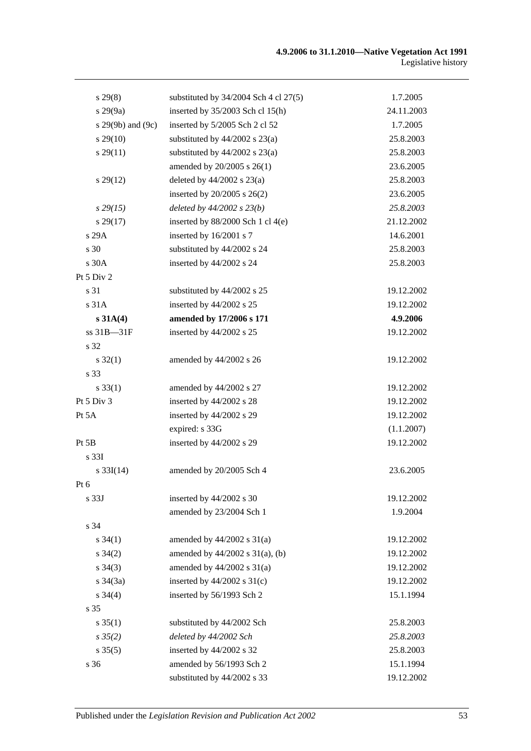| $s\,29(8)$        | substituted by $34/2004$ Sch 4 cl $27(5)$ | 1.7.2005   |
|-------------------|-------------------------------------------|------------|
| s 29(9a)          | inserted by 35/2003 Sch cl 15(h)          | 24.11.2003 |
| s 29(9b) and (9c) | inserted by 5/2005 Sch 2 cl 52            | 1.7.2005   |
| $s\,29(10)$       | substituted by $44/2002$ s $23(a)$        | 25.8.2003  |
| $s\,29(11)$       | substituted by $44/2002$ s $23(a)$        | 25.8.2003  |
|                   | amended by 20/2005 s 26(1)                | 23.6.2005  |
| $s\,29(12)$       | deleted by $44/2002$ s $23(a)$            | 25.8.2003  |
|                   | inserted by $20/2005$ s $26(2)$           | 23.6.2005  |
| $s\,29(15)$       | deleted by $44/2002$ s $23(b)$            | 25.8.2003  |
| $s\,29(17)$       | inserted by 88/2000 Sch 1 cl 4(e)         | 21.12.2002 |
| s 29A             | inserted by 16/2001 s 7                   | 14.6.2001  |
| s 30              | substituted by 44/2002 s 24               | 25.8.2003  |
| s 30A             | inserted by 44/2002 s 24                  | 25.8.2003  |
| Pt 5 Div 2        |                                           |            |
| s 31              | substituted by 44/2002 s 25               | 19.12.2002 |
| s 31A             | inserted by 44/2002 s 25                  | 19.12.2002 |
| s 31A(4)          | amended by 17/2006 s 171                  | 4.9.2006   |
| ss 31B-31F        | inserted by 44/2002 s 25                  | 19.12.2002 |
| s 32              |                                           |            |
| $s \, 32(1)$      | amended by 44/2002 s 26                   | 19.12.2002 |
| s 33              |                                           |            |
| $s \, 33(1)$      | amended by 44/2002 s 27                   | 19.12.2002 |
| Pt 5 Div 3        | inserted by 44/2002 s 28                  | 19.12.2002 |
| Pt 5A             | inserted by 44/2002 s 29                  | 19.12.2002 |
|                   | expired: s 33G                            | (1.1.2007) |
| Pt 5B             | inserted by 44/2002 s 29                  | 19.12.2002 |
| s 33I             |                                           |            |
| $s \, 33I(14)$    | amended by 20/2005 Sch 4                  | 23.6.2005  |
| Pt 6              |                                           |            |
| s 33J             | inserted by 44/2002 s 30                  | 19.12.2002 |
|                   | amended by 23/2004 Sch 1                  | 1.9.2004   |
| s 34              |                                           |            |
| $s \; 34(1)$      | amended by $44/2002$ s $31(a)$            | 19.12.2002 |
| $s \, 34(2)$      | amended by $44/2002$ s $31(a)$ , (b)      | 19.12.2002 |
| $s \; 34(3)$      | amended by $44/2002$ s $31(a)$            | 19.12.2002 |
| $s \frac{34}{3a}$ | inserted by $44/2002$ s $31(c)$           | 19.12.2002 |
| $s \; 34(4)$      | inserted by 56/1993 Sch 2                 | 15.1.1994  |
| s <sub>35</sub>   |                                           |            |
| $s \, 35(1)$      | substituted by 44/2002 Sch                | 25.8.2003  |
| $s \, 35(2)$      | deleted by 44/2002 Sch                    | 25.8.2003  |
| $s \, 35(5)$      | inserted by 44/2002 s 32                  | 25.8.2003  |
| s 36              | amended by 56/1993 Sch 2                  | 15.1.1994  |
|                   | substituted by 44/2002 s 33               | 19.12.2002 |